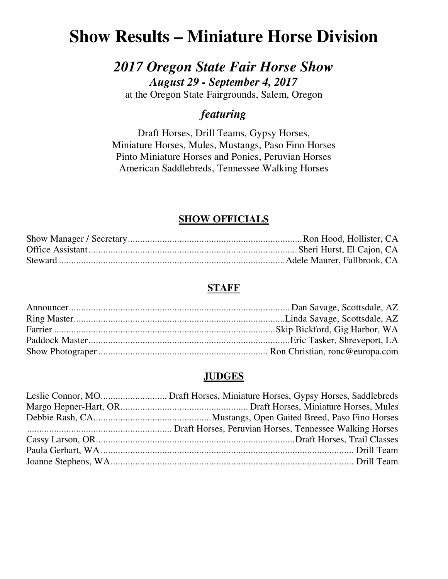# **Show Results – Miniature Horse Division**

# *2017 Oregon State Fair Horse Show August 29 - September 4, 2017*

at the Oregon State Fairgrounds, Salem, Oregon

### *featuring*

Draft Horses, Drill Teams, Gypsy Horses, Miniature Horses, Mules, Mustangs, Paso Fino Horses Pinto Miniature Horses and Ponies, Peruvian Horses American Saddlebreds, Tennessee Walking Horses

## **SHOW OFFICIALS**

### **STAFF**

### **JUDGES**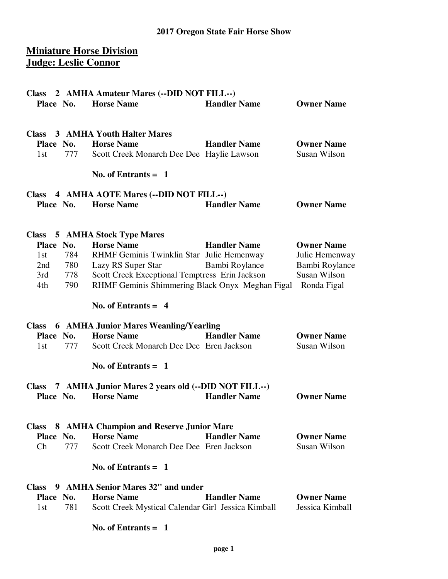### **Miniature Horse Division Judge: Leslie Connor**

| <b>Class</b>                                                      | 2 AMHA Amateur Mares (--DID NOT FILL--)                                                                                                                                                   |                                       |                                                                                      |
|-------------------------------------------------------------------|-------------------------------------------------------------------------------------------------------------------------------------------------------------------------------------------|---------------------------------------|--------------------------------------------------------------------------------------|
| Place No.                                                         | <b>Horse Name</b>                                                                                                                                                                         | <b>Handler Name</b>                   | <b>Owner Name</b>                                                                    |
| <b>Class</b><br>Place No.<br>1st<br>777                           | 3 AMHA Youth Halter Mares<br><b>Horse Name</b><br>Scott Creek Monarch Dee Dee Haylie Lawson<br>No. of Entrants $=$ 1                                                                      | <b>Handler Name</b>                   | <b>Owner Name</b><br>Susan Wilson                                                    |
|                                                                   |                                                                                                                                                                                           |                                       |                                                                                      |
| <b>Class</b><br>Place No.                                         | 4 AMHA AOTE Mares (--DID NOT FILL--)<br><b>Horse Name</b>                                                                                                                                 | <b>Handler Name</b>                   | <b>Owner Name</b>                                                                    |
| <b>Class</b>                                                      | <b>5 AMHA Stock Type Mares</b>                                                                                                                                                            |                                       |                                                                                      |
| Place No.<br>784<br>1st<br>780<br>2nd<br>778<br>3rd<br>790<br>4th | <b>Horse Name</b><br>RHMF Geminis Twinklin Star Julie Hemenway<br>Lazy RS Super Star<br>Scott Creek Exceptional Temptress Erin Jackson<br>RHMF Geminis Shimmering Black Onyx Meghan Figal | <b>Handler Name</b><br>Bambi Roylance | <b>Owner Name</b><br>Julie Hemenway<br>Bambi Roylance<br>Susan Wilson<br>Ronda Figal |
|                                                                   | No. of Entrants $= 4$                                                                                                                                                                     |                                       |                                                                                      |
| <b>Class</b><br>Place No.<br>777<br>1st                           | <b>6 AMHA Junior Mares Weanling/Yearling</b><br><b>Horse Name</b><br>Scott Creek Monarch Dee Dee Eren Jackson                                                                             | <b>Handler Name</b>                   | <b>Owner Name</b><br>Susan Wilson                                                    |
|                                                                   | No. of Entrants $=$ 1                                                                                                                                                                     |                                       |                                                                                      |
| <b>Class</b><br>Place No.                                         | 7 AMHA Junior Mares 2 years old (--DID NOT FILL--)<br><b>Horse Name</b>                                                                                                                   | <b>Handler Name</b>                   | <b>Owner Name</b>                                                                    |
| <b>Class</b><br>Place No.                                         | 8 AMHA Champion and Reserve Junior Mare<br><b>Horse Name</b>                                                                                                                              | <b>Handler Name</b>                   | <b>Owner Name</b>                                                                    |
| 777<br>Ch                                                         | Scott Creek Monarch Dee Dee Eren Jackson                                                                                                                                                  |                                       | Susan Wilson                                                                         |
|                                                                   | No. of Entrants $= 1$                                                                                                                                                                     |                                       |                                                                                      |
| <b>Class</b><br>Place No.<br>781<br>1st                           | 9 AMHA Senior Mares 32" and under<br><b>Horse Name</b><br>Scott Creek Mystical Calendar Girl Jessica Kimball                                                                              | <b>Handler Name</b>                   | <b>Owner Name</b><br>Jessica Kimball                                                 |
|                                                                   | No. of Entrants $= 1$                                                                                                                                                                     |                                       |                                                                                      |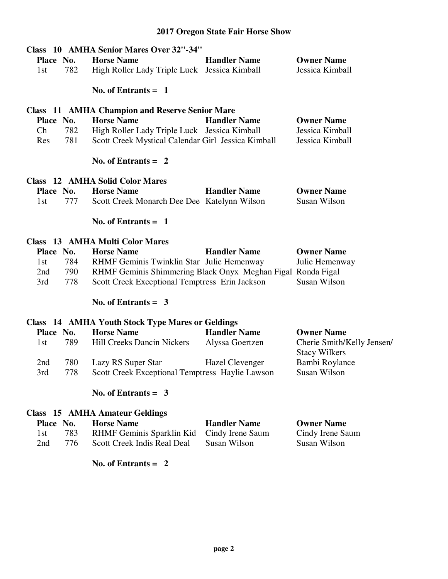|           |     | Class 10 AMHA Senior Mares Over 32"-34"                     |                     |                                                    |
|-----------|-----|-------------------------------------------------------------|---------------------|----------------------------------------------------|
| Place No. |     | <b>Horse Name</b>                                           | <b>Handler Name</b> | <b>Owner Name</b>                                  |
| 1st       | 782 | High Roller Lady Triple Luck Jessica Kimball                |                     | Jessica Kimball                                    |
|           |     |                                                             |                     |                                                    |
|           |     | No. of Entrants $= 1$                                       |                     |                                                    |
|           |     | <b>Class</b> 11 AMHA Champion and Reserve Senior Mare       |                     |                                                    |
| Place No. |     | <b>Horse Name</b>                                           | <b>Handler Name</b> | <b>Owner Name</b>                                  |
| Ch        | 782 | High Roller Lady Triple Luck Jessica Kimball                |                     | Jessica Kimball                                    |
| Res       | 781 | Scott Creek Mystical Calendar Girl Jessica Kimball          |                     | Jessica Kimball                                    |
|           |     | No. of Entrants $= 2$                                       |                     |                                                    |
|           |     | <b>Class</b> 12 AMHA Solid Color Mares                      |                     |                                                    |
| Place No. |     | <b>Horse Name</b>                                           | <b>Handler Name</b> | <b>Owner Name</b>                                  |
| 1st       | 777 | Scott Creek Monarch Dee Dee Katelynn Wilson                 |                     | Susan Wilson                                       |
|           |     | No. of Entrants $= 1$                                       |                     |                                                    |
|           |     | <b>Class</b> 13 AMHA Multi Color Mares                      |                     |                                                    |
| Place No. |     | <b>Horse Name</b>                                           | <b>Handler Name</b> | <b>Owner Name</b>                                  |
| 1st       | 784 | RHMF Geminis Twinklin Star Julie Hemenway                   |                     | Julie Hemenway                                     |
| 2nd       | 790 | RHMF Geminis Shimmering Black Onyx Meghan Figal Ronda Figal |                     |                                                    |
| 3rd       | 778 | Scott Creek Exceptional Temptress Erin Jackson              |                     | Susan Wilson                                       |
|           |     | No. of Entrants = $3$                                       |                     |                                                    |
|           |     | <b>Class</b> 14 AMHA Youth Stock Type Mares or Geldings     |                     |                                                    |
| Place No. |     | <b>Horse Name</b>                                           | <b>Handler Name</b> | <b>Owner Name</b>                                  |
| 1st       | 789 | Hill Creeks Dancin Nickers                                  | Alyssa Goertzen     | Cherie Smith/Kelly Jensen/<br><b>Stacy Wilkers</b> |
| 2nd       | 780 | Lazy RS Super Star                                          | Hazel Clevenger     | Bambi Roylance                                     |
| 3rd       | 778 | Scott Creek Exceptional Temptress Haylie Lawson             |                     | Susan Wilson                                       |
|           |     |                                                             |                     |                                                    |
|           |     | No. of Entrants = $3$                                       |                     |                                                    |
|           |     | Class 15 AMHA Amateur Geldings                              |                     |                                                    |
| Place No. |     | <b>Horse Name</b>                                           | <b>Handler Name</b> | <b>Owner Name</b>                                  |
| 1st       | 783 | RHMF Geminis Sparklin Kid                                   | Cindy Irene Saum    | Cindy Irene Saum                                   |
| 2nd       | 776 | Scott Creek Indis Real Deal                                 | <b>Susan Wilson</b> | Susan Wilson                                       |
|           |     | No. of Entrants $= 2$                                       |                     |                                                    |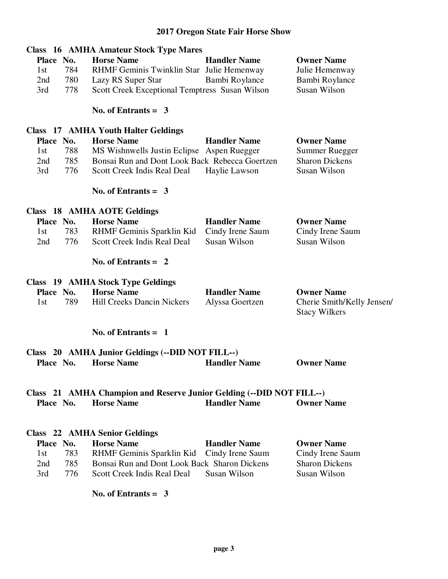|            | <b>Class</b> 16 AMHA Amateur Stock Type Mares                                             |                     |                                         |
|------------|-------------------------------------------------------------------------------------------|---------------------|-----------------------------------------|
| Place No.  | <b>Horse Name</b>                                                                         | <b>Handler Name</b> | <b>Owner Name</b>                       |
| 784<br>1st | RHMF Geminis Twinklin Star Julie Hemenway                                                 |                     | Julie Hemenway                          |
| 780<br>2nd | Lazy RS Super Star                                                                        | Bambi Roylance      | Bambi Roylance                          |
| 778<br>3rd | Scott Creek Exceptional Temptress Susan Wilson                                            |                     | Susan Wilson                            |
|            | No. of Entrants $=$ 3                                                                     |                     |                                         |
|            | Class 17 AMHA Youth Halter Geldings                                                       |                     |                                         |
| Place No.  | <b>Horse Name</b>                                                                         | <b>Handler Name</b> | <b>Owner Name</b>                       |
| 788<br>1st | MS Wishnwells Justin Eclipse Aspen Ruegger                                                |                     | <b>Summer Ruegger</b>                   |
|            | Bonsai Run and Dont Look Back Rebecca Goertzen                                            |                     | <b>Sharon Dickens</b>                   |
| 785<br>2nd |                                                                                           |                     |                                         |
| 3rd<br>776 | Scott Creek Indis Real Deal                                                               | Haylie Lawson       | Susan Wilson                            |
|            | No. of Entrants = $3$                                                                     |                     |                                         |
|            | Class 18 AMHA AOTE Geldings                                                               |                     |                                         |
| Place No.  | <b>Horse Name</b>                                                                         | <b>Handler Name</b> | <b>Owner Name</b>                       |
|            |                                                                                           |                     |                                         |
| 1st<br>783 | RHMF Geminis Sparklin Kid                                                                 | Cindy Irene Saum    | Cindy Irene Saum<br><b>Susan Wilson</b> |
| 776<br>2nd | Scott Creek Indis Real Deal                                                               | Susan Wilson        |                                         |
|            | No. of Entrants $= 2$                                                                     |                     |                                         |
|            | Class 19 AMHA Stock Type Geldings                                                         |                     |                                         |
| Place No.  | <b>Horse Name</b>                                                                         | <b>Handler Name</b> | <b>Owner Name</b>                       |
| 789<br>1st | <b>Hill Creeks Dancin Nickers</b>                                                         | Alyssa Goertzen     | Cherie Smith/Kelly Jensen/              |
|            |                                                                                           |                     | <b>Stacy Wilkers</b>                    |
|            |                                                                                           |                     |                                         |
|            | No. of Entrants $= 1$                                                                     |                     |                                         |
|            | Class 20 AMHA Junior Geldings (--DID NOT FILL--)                                          |                     |                                         |
|            | <b>Place No. Horse Name Handler Name</b>                                                  |                     | <b>Owner Name</b>                       |
|            |                                                                                           |                     |                                         |
| Place No.  | Class 21 AMHA Champion and Reserve Junior Gelding (--DID NOT FILL--)<br><b>Horse Name</b> | <b>Handler Name</b> | <b>Owner Name</b>                       |
|            |                                                                                           |                     |                                         |
|            |                                                                                           |                     |                                         |
|            | <b>Class</b> 22 AMHA Senior Geldings                                                      |                     |                                         |
| Place No.  | <b>Horse Name</b>                                                                         | <b>Handler Name</b> | <b>Owner Name</b>                       |
| 783<br>1st | RHMF Geminis Sparklin Kid                                                                 | Cindy Irene Saum    | Cindy Irene Saum                        |
| 785<br>2nd | Bonsai Run and Dont Look Back Sharon Dickens                                              |                     | <b>Sharon Dickens</b>                   |
| 3rd<br>776 | Scott Creek Indis Real Deal                                                               | <b>Susan Wilson</b> | Susan Wilson                            |
|            | No. of Entrants $=$ 3                                                                     |                     |                                         |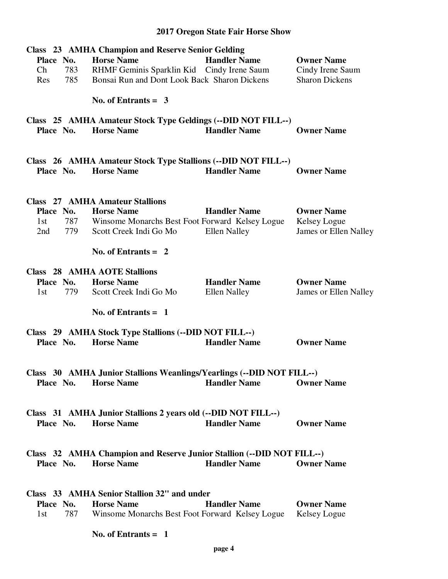|                      | <b>Class</b> 23 AMHA Champion and Reserve Senior Gelding              |                                 |                              |
|----------------------|-----------------------------------------------------------------------|---------------------------------|------------------------------|
| Place No.            | <b>Horse Name</b>                                                     | <b>Handler Name</b>             | <b>Owner Name</b>            |
| Ch<br>783            | RHMF Geminis Sparklin Kid Cindy Irene Saum                            |                                 | Cindy Irene Saum             |
| 785<br>Res           | Bonsai Run and Dont Look Back Sharon Dickens                          |                                 | <b>Sharon Dickens</b>        |
|                      |                                                                       |                                 |                              |
|                      | No. of Entrants = $3$                                                 |                                 |                              |
|                      | Class 25 AMHA Amateur Stock Type Geldings (--DID NOT FILL--)          |                                 |                              |
| Place No.            | <b>Horse Name</b>                                                     | <b>Handler Name</b>             | <b>Owner Name</b>            |
|                      |                                                                       |                                 |                              |
|                      | Class 26 AMHA Amateur Stock Type Stallions (--DID NOT FILL--)         |                                 |                              |
| Place No.            | <b>Horse Name</b>                                                     | <b>Handler Name</b>             | <b>Owner Name</b>            |
|                      |                                                                       |                                 |                              |
|                      |                                                                       |                                 |                              |
|                      | <b>Class</b> 27 AMHA Amateur Stallions                                |                                 |                              |
| Place No.            | <b>Horse Name</b>                                                     | <b>Handler Name</b>             | <b>Owner Name</b>            |
| 1st                  | 787 Winsome Monarchs Best Foot Forward Kelsey Logue                   |                                 | Kelsey Logue                 |
| 2nd<br>779           | Scott Creek Indi Go Mo                                                | <b>Ellen Nalley</b>             | <b>James or Ellen Nalley</b> |
|                      | No. of Entrants $= 2$                                                 |                                 |                              |
|                      | <b>Class</b> 28 AMHA AOTE Stallions                                   |                                 |                              |
| Place No.            | <b>Horse Name</b>                                                     | <b>Handler Name</b>             | <b>Owner Name</b>            |
| 1st<br>779           | Scott Creek Indi Go Mo                                                | <b>Ellen Nalley</b>             | James or Ellen Nalley        |
|                      |                                                                       |                                 |                              |
|                      | No. of Entrants $= 1$                                                 |                                 |                              |
|                      | Class 29 AMHA Stock Type Stallions (--DID NOT FILL--)                 |                                 |                              |
| Place No.            | <b>Horse Name</b>                                                     | <b>Handler Name</b>             | <b>Owner Name</b>            |
|                      |                                                                       |                                 |                              |
|                      |                                                                       |                                 |                              |
|                      | Class 30 AMHA Junior Stallions Weanlings/Yearlings (--DID NOT FILL--) |                                 |                              |
| Place No. Horse Name |                                                                       | <b>Handler Name Corner Name</b> |                              |
|                      |                                                                       |                                 |                              |
|                      | Class 31 AMHA Junior Stallions 2 years old (--DID NOT FILL--)         |                                 |                              |
| Place No. Horse Name |                                                                       | <b>Handler Name</b>             | <b>Owner Name</b>            |
|                      |                                                                       |                                 |                              |
|                      | Class 32 AMHA Champion and Reserve Junior Stallion (--DID NOT FILL--) |                                 |                              |
| Place No.            | <b>Horse Name</b>                                                     | <b>Handler Name</b>             | <b>Owner Name</b>            |
|                      |                                                                       |                                 |                              |
|                      |                                                                       |                                 |                              |
|                      | Class 33 AMHA Senior Stallion 32" and under                           |                                 |                              |
| Place No.            | <b>Horse Name</b>                                                     | <b>Handler Name</b>             | <b>Owner Name</b>            |
| 1st                  | 787 Winsome Monarchs Best Foot Forward Kelsey Logue Kelsey Logue      |                                 |                              |
|                      | No. of Entrants $= 1$                                                 |                                 |                              |
|                      |                                                                       |                                 |                              |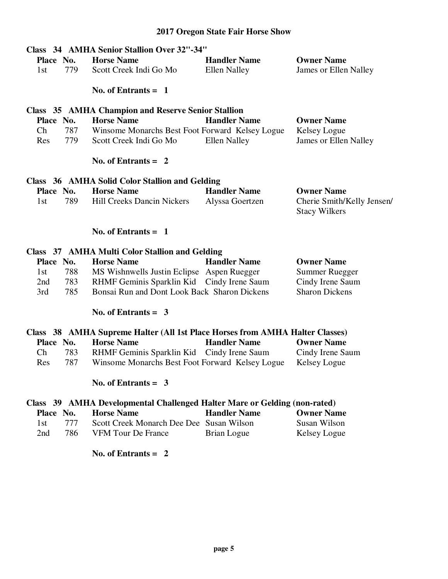|           |     | Class 34 AMHA Senior Stallion Over 32"-34"                |                     |                                                    |
|-----------|-----|-----------------------------------------------------------|---------------------|----------------------------------------------------|
| Place No. |     | <b>Horse Name</b>                                         | <b>Handler Name</b> | <b>Owner Name</b>                                  |
| 1st       | 779 | Scott Creek Indi Go Mo                                    | Ellen Nalley        | James or Ellen Nalley                              |
|           |     | No. of Entrants $= 1$                                     |                     |                                                    |
|           |     | <b>Class 35 AMHA Champion and Reserve Senior Stallion</b> |                     |                                                    |
| Place No. |     | <b>Horse Name</b>                                         | <b>Handler Name</b> | <b>Owner Name</b>                                  |
| Ch        | 787 | Winsome Monarchs Best Foot Forward Kelsey Logue           |                     | Kelsey Logue                                       |
| Res       | 779 | Scott Creek Indi Go Mo                                    | Ellen Nalley        | <b>James or Ellen Nalley</b>                       |
|           |     | No. of Entrants $= 2$                                     |                     |                                                    |
|           |     | Class 36 AMHA Solid Color Stallion and Gelding            |                     |                                                    |
| Place No. |     | <b>Horse Name</b>                                         | <b>Handler Name</b> | <b>Owner Name</b>                                  |
| 1st       | 789 | <b>Hill Creeks Dancin Nickers</b>                         | Alyssa Goertzen     | Cherie Smith/Kelly Jensen/<br><b>Stacy Wilkers</b> |
|           |     | No. of Entrants = $1$                                     |                     |                                                    |
|           |     | Class 37 AMHA Multi Color Stallion and Gelding            |                     |                                                    |
| Place No. |     | <b>Horse Name</b>                                         | <b>Handler Name</b> | <b>Owner Name</b>                                  |
| 1st       | 788 | MS Wishnwells Justin Eclipse Aspen Ruegger                |                     | <b>Summer Ruegger</b>                              |
| 2nd       | 783 | RHMF Geminis Sparklin Kid Cindy Irene Saum                |                     | Cindy Irene Saum                                   |
| 3rd       | 785 | Bonsai Run and Dont Look Back Sharon Dickens              |                     | <b>Sharon Dickens</b>                              |

#### **No. of Entrants = 3**

|      |           | Class 38 AMHA Supreme Halter (All 1st Place Horses from AMHA Halter Classes) |                     |                   |
|------|-----------|------------------------------------------------------------------------------|---------------------|-------------------|
|      | Place No. | <b>Horse Name</b>                                                            | <b>Handler Name</b> | <b>Owner Name</b> |
| Ch.  | 783       | RHMF Geminis Sparklin Kid Cindy Irene Saum                                   |                     | Cindy Irene Saum  |
| Res. | 787       | Winsome Monarchs Best Foot Forward Kelsey Logue                              |                     | Kelsey Logue      |

### **No. of Entrants = 3**

### **Class 39 AMHA Developmental Challenged Halter Mare or Gelding (non-rated)**

|      | Place No. | <b>Horse Name</b>                        | <b>Handler Name</b> | <b>Owner Name</b> |
|------|-----------|------------------------------------------|---------------------|-------------------|
| 1st. | 777       | Scott Creek Monarch Dee Dee Susan Wilson |                     | Susan Wilson      |
| 2nd  | 786.      | VFM Tour De France                       | Brian Logue         | Kelsey Logue      |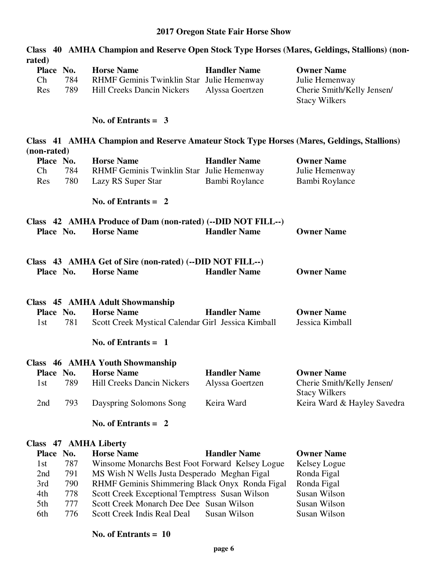|                                                |                                                                                                     |                                        | Class 40 AMHA Champion and Reserve Open Stock Type Horses (Mares, Geldings, Stallions) (non- |
|------------------------------------------------|-----------------------------------------------------------------------------------------------------|----------------------------------------|----------------------------------------------------------------------------------------------|
| rated)<br>Place No.<br>Ch<br>784<br>Res<br>789 | <b>Horse Name</b><br>RHMF Geminis Twinklin Star Julie Hemenway<br><b>Hill Creeks Dancin Nickers</b> | <b>Handler Name</b><br>Alyssa Goertzen | <b>Owner Name</b><br>Julie Hemenway<br>Cherie Smith/Kelly Jensen/<br><b>Stacy Wilkers</b>    |
|                                                | No. of Entrants = $3$                                                                               |                                        |                                                                                              |
|                                                | Class 41 AMHA Champion and Reserve Amateur Stock Type Horses (Mares, Geldings, Stallions)           |                                        |                                                                                              |
| (non-rated)<br>Place No.                       | <b>Horse Name</b>                                                                                   | <b>Handler Name</b>                    | <b>Owner Name</b>                                                                            |
| Ch<br>784                                      | RHMF Geminis Twinklin Star Julie Hemenway                                                           |                                        | Julie Hemenway                                                                               |
| 780<br>Res                                     | Lazy RS Super Star                                                                                  | Bambi Roylance                         | Bambi Roylance                                                                               |
|                                                | No. of Entrants $= 2$                                                                               |                                        |                                                                                              |
|                                                | Class 42 AMHA Produce of Dam (non-rated) (--DID NOT FILL--)                                         |                                        |                                                                                              |
| Place No.                                      | <b>Horse Name</b>                                                                                   | <b>Handler Name</b>                    | <b>Owner Name</b>                                                                            |
|                                                |                                                                                                     |                                        |                                                                                              |
| Place No.                                      | Class 43 AMHA Get of Sire (non-rated) (--DID NOT FILL--)<br><b>Horse Name</b>                       | <b>Handler Name</b>                    | <b>Owner Name</b>                                                                            |
|                                                | Class 45 AMHA Adult Showmanship                                                                     |                                        |                                                                                              |
| Place No.                                      | <b>Horse Name</b>                                                                                   | <b>Handler Name</b>                    | <b>Owner Name</b>                                                                            |
| 781<br>1st                                     | Scott Creek Mystical Calendar Girl Jessica Kimball                                                  |                                        | Jessica Kimball                                                                              |
|                                                | No. of Entrants $= 1$                                                                               |                                        |                                                                                              |
|                                                | Class 46 AMHA Youth Showmanship                                                                     |                                        |                                                                                              |
|                                                | Place No. Horse Name                                                                                | <b>Handler Name</b>                    | <b>Owner Name</b>                                                                            |
| 789<br>1st                                     | <b>Hill Creeks Dancin Nickers</b>                                                                   | Alyssa Goertzen                        | Cherie Smith/Kelly Jensen/<br><b>Stacy Wilkers</b>                                           |
| 793<br>2nd                                     | Dayspring Solomons Song                                                                             | Keira Ward                             | Keira Ward & Hayley Savedra                                                                  |
|                                                | No. of Entrants $= 2$                                                                               |                                        |                                                                                              |
| Class 47 AMHA Liberty                          |                                                                                                     |                                        |                                                                                              |
| Place No.                                      | <b>Horse Name</b>                                                                                   | <b>Handler Name</b>                    | <b>Owner Name</b>                                                                            |
| 787<br>1st                                     | Winsome Monarchs Best Foot Forward Kelsey Logue                                                     |                                        | Kelsey Logue                                                                                 |

2nd 791 MS Wish N Wells Justa Desperado Meghan Figal Ronda Figal 3rd 790 RHMF Geminis Shimmering Black Onyx Ronda Figal Ronda Figal 4th 778 Scott Creek Exceptional Temptress Susan Wilson Susan Wilson

- 4th 778 Scott Creek Exceptional Temptress Susan Wilson Susan Wilson<br>5th 777 Scott Creek Monarch Dee Dee Susan Wilson Susan Wilson
- 5th 777 Scott Creek Monarch Dee Dee Susan Wilson Susan Wilson<br>6th 776 Scott Creek Indis Real Deal Susan Wilson Susan Wilson Scott Creek Indis Real Deal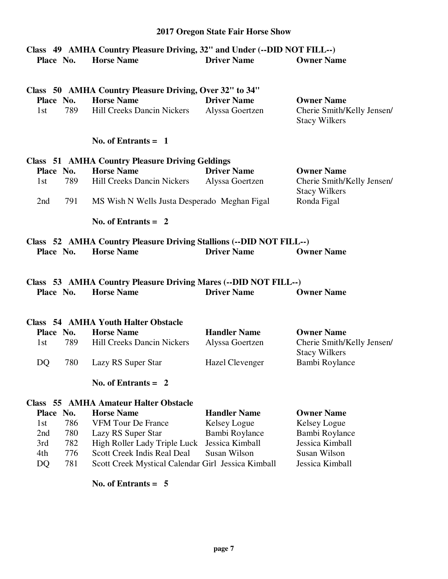### **Class 49 AMHA Country Pleasure Driving, 32" and Under (--DID NOT FILL--) Place No. Horse Name Driver Name Owner Name**

|           |     | Class 50 AMHA Country Pleasure Driving, Over 32" to 34" |                    |                                                   |
|-----------|-----|---------------------------------------------------------|--------------------|---------------------------------------------------|
| Place No. |     | <b>Horse Name</b>                                       | <b>Driver Name</b> | <b>Owner Name</b>                                 |
| 1st.      | 789 | <b>Hill Creeks Dancin Nickers</b>                       | Alyssa Goertzen    | Cherie Smith/Kelly Jensen<br><b>Stacy Wilkers</b> |

### **No. of Entrants = 1**

|           | Class 51 AMHA Country Pleasure Driving Geldings |                                              |                    |                                                   |  |  |
|-----------|-------------------------------------------------|----------------------------------------------|--------------------|---------------------------------------------------|--|--|
| Place No. |                                                 | <b>Horse Name</b>                            | <b>Driver Name</b> | <b>Owner Name</b>                                 |  |  |
| 1st -     | 789                                             | <b>Hill Creeks Dancin Nickers</b>            | Alyssa Goertzen    | Cherie Smith/Kelly Jensen<br><b>Stacy Wilkers</b> |  |  |
| 2nd       | 791                                             | MS Wish N Wells Justa Desperado Meghan Figal |                    | Ronda Figal                                       |  |  |

 **No. of Entrants = 2** 

|           |                   | Class 52 AMHA Country Pleasure Driving Stallions (--DID NOT FILL--) |                   |
|-----------|-------------------|---------------------------------------------------------------------|-------------------|
| Place No. | <b>Horse Name</b> | <b>Driver Name</b>                                                  | <b>Owner Name</b> |

### **Class 53 AMHA Country Pleasure Driving Mares (--DID NOT FILL--) Place No. Horse Name Driver Name Owner Name**

|           |     | Class 54 AMHA Youth Halter Obstacle |                     |                                                    |
|-----------|-----|-------------------------------------|---------------------|----------------------------------------------------|
| Place No. |     | <b>Horse Name</b>                   | <b>Handler Name</b> | <b>Owner Name</b>                                  |
| 1st -     | 789 | <b>Hill Creeks Dancin Nickers</b>   | Alyssa Goertzen     | Cherie Smith/Kelly Jensen/<br><b>Stacy Wilkers</b> |
| DO.       | 780 | Lazy RS Super Star                  | Hazel Clevenger     | Bambi Roylance                                     |

 **No. of Entrants = 2** 

### **Class 55 AMHA Amateur Halter Obstacle**

| Place No. |     | <b>Horse Name</b>                                  | <b>Handler Name</b> | <b>Owner Name</b> |
|-----------|-----|----------------------------------------------------|---------------------|-------------------|
| 1st       | 786 | <b>VFM Tour De France</b>                          | Kelsey Logue        | Kelsey Logue      |
| 2nd       | 780 | Lazy RS Super Star                                 | Bambi Roylance      | Bambi Roylance    |
| 3rd       | 782 | High Roller Lady Triple Luck Jessica Kimball       |                     | Jessica Kimball   |
| 4th       | 776 | Scott Creek Indis Real Deal                        | Susan Wilson        | Susan Wilson      |
| DO.       | 781 | Scott Creek Mystical Calendar Girl Jessica Kimball |                     | Jessica Kimball   |
|           |     |                                                    |                     |                   |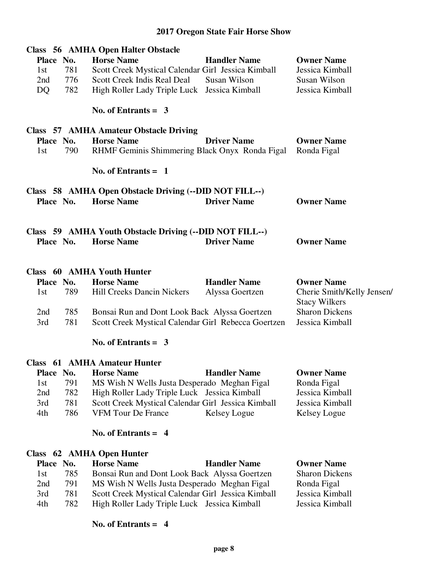| Place No.<br>1st<br>2nd<br>DQ | 781<br>776<br>782 | Class 56 AMHA Open Halter Obstacle<br><b>Horse Name</b><br>Scott Creek Mystical Calendar Girl Jessica Kimball<br>Scott Creek Indis Real Deal<br>High Roller Lady Triple Luck | <b>Handler Name</b><br>Susan Wilson<br>Jessica Kimball | <b>Owner Name</b><br>Jessica Kimball<br>Susan Wilson<br>Jessica Kimball |
|-------------------------------|-------------------|------------------------------------------------------------------------------------------------------------------------------------------------------------------------------|--------------------------------------------------------|-------------------------------------------------------------------------|
|                               |                   | No. of Entrants = $3$                                                                                                                                                        |                                                        |                                                                         |
|                               |                   | <b>Class 57 AMHA Amateur Obstacle Driving</b>                                                                                                                                |                                                        |                                                                         |
| Place No.<br>1st              | 790               | <b>Horse Name</b><br>RHMF Geminis Shimmering Black Onyx Ronda Figal                                                                                                          | <b>Driver Name</b>                                     | <b>Owner Name</b><br>Ronda Figal                                        |
|                               |                   | No. of Entrants $= 1$                                                                                                                                                        |                                                        |                                                                         |
|                               |                   | Class 58 AMHA Open Obstacle Driving (--DID NOT FILL--)                                                                                                                       |                                                        |                                                                         |
| Place No.                     |                   | <b>Horse Name</b>                                                                                                                                                            | <b>Driver Name</b>                                     | <b>Owner Name</b>                                                       |
| Place No.                     |                   | Class 59 AMHA Youth Obstacle Driving (--DID NOT FILL--)<br><b>Horse Name</b>                                                                                                 | <b>Driver Name</b>                                     | <b>Owner Name</b>                                                       |
|                               |                   | <b>Class</b> 60 AMHA Youth Hunter                                                                                                                                            |                                                        |                                                                         |
| Place No.                     |                   | <b>Horse Name</b>                                                                                                                                                            | <b>Handler Name</b>                                    | <b>Owner Name</b>                                                       |
| 1st                           | 789               | <b>Hill Creeks Dancin Nickers</b>                                                                                                                                            | Alyssa Goertzen                                        | Cherie Smith/Kelly Jensen/<br><b>Stacy Wilkers</b>                      |
| 2nd                           | 785               | Bonsai Run and Dont Look Back Alyssa Goertzen                                                                                                                                |                                                        | <b>Sharon Dickens</b>                                                   |
| 3rd                           | 781               | Scott Creek Mystical Calendar Girl Rebecca Goertzen                                                                                                                          |                                                        | Jessica Kimball                                                         |
|                               |                   | No. of Entrants = $3$                                                                                                                                                        |                                                        |                                                                         |
|                               |                   | <b>Class</b> 61 AMHA Amateur Hunter                                                                                                                                          |                                                        |                                                                         |
| Place No.                     |                   | <b>Horse Name</b>                                                                                                                                                            | <b>Handler Name</b>                                    | <b>Owner Name</b>                                                       |
| 1st                           | 791               | MS Wish N Wells Justa Desperado Meghan Figal                                                                                                                                 |                                                        | Ronda Figal                                                             |
| 2nd                           | 782               | High Roller Lady Triple Luck Jessica Kimball                                                                                                                                 |                                                        | Jessica Kimball                                                         |
|                               |                   |                                                                                                                                                                              |                                                        |                                                                         |
| 3rd                           | 781               | Scott Creek Mystical Calendar Girl Jessica Kimball                                                                                                                           |                                                        | Jessica Kimball                                                         |

### **No. of Entrants = 4**

### **Class 62 AMHA Open Hunter**

| Place No. |      | <b>Horse Name</b>                                  | <b>Handler Name</b> | <b>Owner Name</b>     |
|-----------|------|----------------------------------------------------|---------------------|-----------------------|
| 1st       | 785. | Bonsai Run and Dont Look Back Alyssa Goertzen      |                     | <b>Sharon Dickens</b> |
| 2nd       | 791  | MS Wish N Wells Justa Desperado Meghan Figal       |                     | Ronda Figal           |
| 3rd       | 781  | Scott Creek Mystical Calendar Girl Jessica Kimball |                     | Jessica Kimball       |
| 4th       | 782  | High Roller Lady Triple Luck Jessica Kimball       |                     | Jessica Kimball       |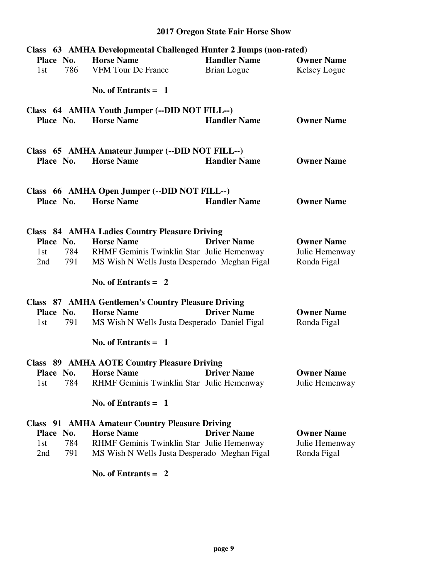|            | Class 63 AMHA Developmental Challenged Hunter 2 Jumps (non-rated) |                     |                   |
|------------|-------------------------------------------------------------------|---------------------|-------------------|
| Place No.  | <b>Horse Name</b>                                                 | <b>Handler Name</b> | <b>Owner Name</b> |
| 786<br>1st | <b>VFM Tour De France</b>                                         | <b>Brian Logue</b>  | Kelsey Logue      |
|            | No. of Entrants $= 1$                                             |                     |                   |
|            | Class 64 AMHA Youth Jumper (--DID NOT FILL--)                     |                     |                   |
| Place No.  | <b>Horse Name</b>                                                 | <b>Handler Name</b> | <b>Owner Name</b> |
|            | Class 65 AMHA Amateur Jumper (--DID NOT FILL--)                   |                     |                   |
| Place No.  | <b>Horse Name</b>                                                 | <b>Handler Name</b> | <b>Owner Name</b> |
|            |                                                                   |                     |                   |
|            | Class 66 AMHA Open Jumper (--DID NOT FILL--)                      |                     |                   |
| Place No.  | <b>Horse Name</b>                                                 | <b>Handler Name</b> | <b>Owner Name</b> |
|            |                                                                   |                     |                   |
|            | <b>Class 84 AMHA Ladies Country Pleasure Driving</b>              |                     |                   |
| Place No.  | <b>Horse Name</b>                                                 | <b>Driver Name</b>  | <b>Owner Name</b> |
| 784<br>1st | RHMF Geminis Twinklin Star Julie Hemenway                         |                     | Julie Hemenway    |
| 791<br>2nd | MS Wish N Wells Justa Desperado Meghan Figal                      |                     | Ronda Figal       |
|            | No. of Entrants $= 2$                                             |                     |                   |
|            | <b>Class 87 AMHA Gentlemen's Country Pleasure Driving</b>         |                     |                   |
| Place No.  | <b>Horse Name</b>                                                 | <b>Driver Name</b>  | <b>Owner Name</b> |
| 791<br>1st | MS Wish N Wells Justa Desperado Daniel Figal                      |                     | Ronda Figal       |
|            | No. of Entrants $= 1$                                             |                     |                   |
|            | <b>Class 89 AMHA AOTE Country Pleasure Driving</b>                |                     |                   |
|            | <b>Place No. Horse Name Driver Name</b>                           |                     | <b>Owner Name</b> |
| 784<br>1st | RHMF Geminis Twinklin Star Julie Hemenway                         |                     | Julie Hemenway    |
|            | No. of Entrants $= 1$                                             |                     |                   |
|            | <b>Class</b> 91 AMHA Amateur Country Pleasure Driving             |                     |                   |
| Place No.  | <b>Horse Name</b>                                                 | <b>Driver Name</b>  | <b>Owner Name</b> |
| 784<br>1st | RHMF Geminis Twinklin Star Julie Hemenway                         |                     | Julie Hemenway    |
| 791<br>2nd | MS Wish N Wells Justa Desperado Meghan Figal                      |                     | Ronda Figal       |
|            |                                                                   |                     |                   |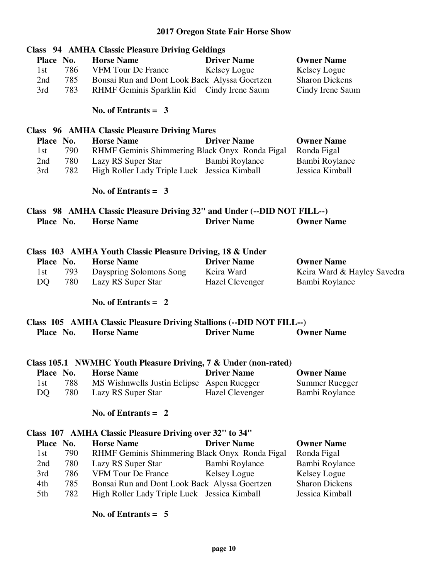|            | <b>Class</b> 94 AMHA Classic Pleasure Driving Geldings                  |                        |                             |
|------------|-------------------------------------------------------------------------|------------------------|-----------------------------|
| Place No.  | <b>Horse Name</b>                                                       | <b>Driver Name</b>     | <b>Owner Name</b>           |
| 786<br>1st | VFM Tour De France                                                      | Kelsey Logue           | Kelsey Logue                |
| 785<br>2nd | Bonsai Run and Dont Look Back Alyssa Goertzen                           |                        | <b>Sharon Dickens</b>       |
| 783<br>3rd | RHMF Geminis Sparklin Kid Cindy Irene Saum                              |                        | Cindy Irene Saum            |
|            |                                                                         |                        |                             |
|            | No. of Entrants = $3$                                                   |                        |                             |
|            | <b>Class</b> 96 AMHA Classic Pleasure Driving Mares                     |                        |                             |
| Place No.  | <b>Horse Name</b>                                                       | <b>Driver Name</b>     | <b>Owner Name</b>           |
| 790<br>1st | RHMF Geminis Shimmering Black Onyx Ronda Figal                          |                        | Ronda Figal                 |
| 780<br>2nd | Lazy RS Super Star                                                      | Bambi Roylance         | Bambi Roylance              |
| 782<br>3rd | High Roller Lady Triple Luck Jessica Kimball                            |                        | Jessica Kimball             |
|            | No. of Entrants = $3$                                                   |                        |                             |
|            |                                                                         |                        |                             |
|            | Class 98 AMHA Classic Pleasure Driving 32" and Under (--DID NOT FILL--) |                        |                             |
| Place No.  | <b>Horse Name</b>                                                       | <b>Driver Name</b>     | <b>Owner Name</b>           |
|            |                                                                         |                        |                             |
|            | Class 103 AMHA Youth Classic Pleasure Driving, 18 & Under               |                        |                             |
| Place No.  | <b>Horse Name</b>                                                       | <b>Driver Name</b>     | <b>Owner Name</b>           |
| 793<br>1st | Dayspring Solomons Song                                                 | Keira Ward             | Keira Ward & Hayley Savedra |
| DQ<br>780  | Lazy RS Super Star                                                      | Hazel Clevenger        | Bambi Roylance              |
|            | No. of Entrants $= 2$                                                   |                        |                             |
|            | Class 105 AMHA Classic Pleasure Driving Stallions (--DID NOT FILL--)    |                        |                             |
| Place No.  | <b>Horse Name</b>                                                       | <b>Driver Name</b>     | <b>Owner Name</b>           |
|            |                                                                         |                        |                             |
|            | Class 105.1 NWMHC Youth Pleasure Driving, 7 & Under (non-rated)         |                        |                             |
| Place No.  | <b>Horse Name</b>                                                       | <b>Driver Name</b>     | <b>Owner Name</b>           |
| 788<br>1st | MS Wishnwells Justin Eclipse Aspen Ruegger                              |                        | <b>Summer Ruegger</b>       |
| 780<br>DQ  | Lazy RS Super Star                                                      | <b>Hazel Clevenger</b> | Bambi Roylance              |
|            | No. of Entrants $= 2$                                                   |                        |                             |
|            |                                                                         |                        |                             |
|            | Class 107 AMHA Classic Pleasure Driving over 32" to 34"                 |                        |                             |
| Place No.  | <b>Horse Name</b>                                                       | <b>Driver Name</b>     | <b>Owner Name</b>           |
| 790<br>1st | RHMF Geminis Shimmering Black Onyx Ronda Figal                          |                        | Ronda Figal                 |
| 780<br>2nd | Lazy RS Super Star                                                      | Bambi Roylance         | Bambi Roylance              |
| 3rd<br>786 | <b>VFM Tour De France</b>                                               | Kelsey Logue           | Kelsey Logue                |
| 785<br>4th | Bonsai Run and Dont Look Back Alyssa Goertzen                           |                        | <b>Sharon Dickens</b>       |
| 782<br>5th | High Roller Lady Triple Luck Jessica Kimball                            |                        | Jessica Kimball             |
|            |                                                                         |                        |                             |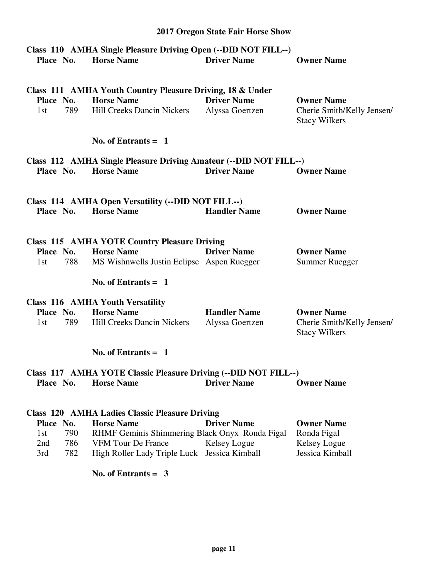# **2017 Oregon State Fair Horse Show Class 110 AMHA Single Pleasure Driving Open (--DID NOT FILL--) Place No. Horse Name Driver Name Owner Name Class 111 AMHA Youth Country Pleasure Driving, 18 & Under Place No. Horse Name Driver Name Owner Name**  1st 789 Hill Creeks Dancin Nickers Alyssa Goertzen Cherie Smith/Kelly Jensen/ Stacy Wilkers  **No. of Entrants = 1 Class 112 AMHA Single Pleasure Driving Amateur (--DID NOT FILL--) Place No. Horse Name Driver Name Owner Name Class 114 AMHA Open Versatility (--DID NOT FILL--) Place No. Horse Name Handler Name Owner Name Class 115 AMHA YOTE Country Pleasure Driving Place No. Horse Name Driver Name Owner Name**  1st 788 MS Wishnwells Justin Eclipse Aspen Ruegger Summer Ruegger  **No. of Entrants = 1 Class 116 AMHA Youth Versatility Place No. Horse Name Handler Name Owner Name**  1st 789 Hill Creeks Dancin Nickers Alyssa Goertzen Cherie Smith/Kelly Jensen/ Stacy Wilkers  **No. of Entrants = 1 Class 117 AMHA YOTE Classic Pleasure Driving (--DID NOT FILL--) Place No. Horse Name Driver Name Owner Name Class 120 AMHA Ladies Classic Pleasure Driving Place No. Horse Name Driver Name Owner Name**  1st 790 RHMF Geminis Shimmering Black Onyx Ronda Figal Ronda Figal 2nd 786 VFM Tour De France Kelsey Logue Kelsey Logue

 **No. of Entrants = 3** 

3rd 782 High Roller Lady Triple Luck Jessica Kimball Jessica Kimball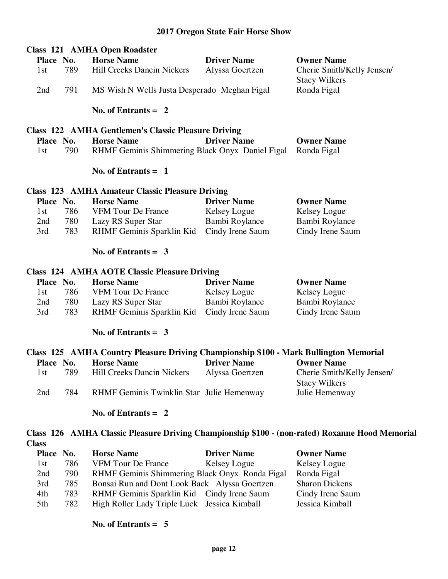|              |     | <b>Class 121 AMHA Open Roadster</b>                                                   |                    |                                                                                                |
|--------------|-----|---------------------------------------------------------------------------------------|--------------------|------------------------------------------------------------------------------------------------|
| Place No.    |     | <b>Horse Name</b>                                                                     | <b>Driver Name</b> | <b>Owner Name</b>                                                                              |
| 1st          | 789 | <b>Hill Creeks Dancin Nickers</b>                                                     | Alyssa Goertzen    | Cherie Smith/Kelly Jensen/<br><b>Stacy Wilkers</b>                                             |
| 2nd          | 791 | MS Wish N Wells Justa Desperado Meghan Figal                                          |                    | Ronda Figal                                                                                    |
|              |     | No. of Entrants $= 2$                                                                 |                    |                                                                                                |
|              |     | <b>Class 122 AMHA Gentlemen's Classic Pleasure Driving</b>                            |                    |                                                                                                |
| Place No.    |     | <b>Horse Name</b>                                                                     | <b>Driver Name</b> | <b>Owner Name</b>                                                                              |
| 1st          | 790 | RHMF Geminis Shimmering Black Onyx Daniel Figal                                       |                    | Ronda Figal                                                                                    |
|              |     | No. of Entrants $= 1$                                                                 |                    |                                                                                                |
|              |     | <b>Class 123 AMHA Amateur Classic Pleasure Driving</b>                                |                    |                                                                                                |
| Place No.    |     | <b>Horse Name</b>                                                                     | <b>Driver Name</b> | <b>Owner Name</b>                                                                              |
| 1st          | 786 | <b>VFM Tour De France</b>                                                             | Kelsey Logue       | Kelsey Logue                                                                                   |
| 2nd          | 780 | Lazy RS Super Star                                                                    | Bambi Roylance     | Bambi Roylance                                                                                 |
| 3rd          | 783 | RHMF Geminis Sparklin Kid                                                             | Cindy Irene Saum   | Cindy Irene Saum                                                                               |
|              |     | No. of Entrants = $3$                                                                 |                    |                                                                                                |
|              |     | <b>Class 124 AMHA AOTE Classic Pleasure Driving</b>                                   |                    |                                                                                                |
| Place No.    |     | <b>Horse Name</b>                                                                     | <b>Driver Name</b> | <b>Owner Name</b>                                                                              |
| 1st          | 786 | <b>VFM Tour De France</b>                                                             | Kelsey Logue       | Kelsey Logue                                                                                   |
| 2nd          | 780 | Lazy RS Super Star                                                                    | Bambi Roylance     | Bambi Roylance                                                                                 |
| 3rd          | 783 | RHMF Geminis Sparklin Kid                                                             | Cindy Irene Saum   | Cindy Irene Saum                                                                               |
|              |     | No. of Entrants = $3$                                                                 |                    |                                                                                                |
|              |     | Class 125 AMHA Country Pleasure Driving Championship \$100 - Mark Bullington Memorial |                    |                                                                                                |
| Place No.    |     | <b>Horse Name</b>                                                                     | <b>Driver Name</b> | <b>Owner Name</b>                                                                              |
| 1st          | 789 | <b>Hill Creeks Dancin Nickers</b>                                                     | Alyssa Goertzen    | Cherie Smith/Kelly Jensen/<br><b>Stacy Wilkers</b>                                             |
| 2nd          | 784 | RHMF Geminis Twinklin Star Julie Hemenway                                             |                    | Julie Hemenway                                                                                 |
|              |     | No. of Entrants = $2$                                                                 |                    |                                                                                                |
| <b>Class</b> |     |                                                                                       |                    | Class 126 AMHA Classic Pleasure Driving Championship \$100 - (non-rated) Roxanne Hood Memorial |

| Place No. |     | <b>Horse Name</b>                              | <b>Driver Name</b> | <b>Owner Name</b>     |
|-----------|-----|------------------------------------------------|--------------------|-----------------------|
| 1st       | 786 | <b>VFM Tour De France</b>                      | Kelsey Logue       | Kelsey Logue          |
| 2nd       | 790 | RHMF Geminis Shimmering Black Onyx Ronda Figal |                    | Ronda Figal           |
| 3rd       | 785 | Bonsai Run and Dont Look Back Alyssa Goertzen  |                    | <b>Sharon Dickens</b> |
| 4th       | 783 | RHMF Geminis Sparklin Kid Cindy Irene Saum     |                    | Cindy Irene Saum      |
| 5th       | 782 | High Roller Lady Triple Luck Jessica Kimball   |                    | Jessica Kimball       |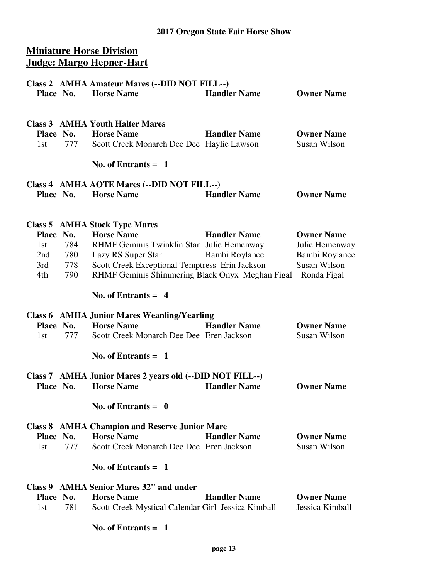### **Miniature Horse Division Judge: Margo Hepner-Hart**

| Place No.                      |                              | Class 2 AMHA Amateur Mares (--DID NOT FILL--)<br><b>Horse Name</b>                                                                                                                                                                | <b>Handler Name</b>                   | <b>Owner Name</b>                                                                    |
|--------------------------------|------------------------------|-----------------------------------------------------------------------------------------------------------------------------------------------------------------------------------------------------------------------------------|---------------------------------------|--------------------------------------------------------------------------------------|
| Place No.<br>1st               | 777                          | <b>Class 3 AMHA Youth Halter Mares</b><br><b>Horse Name</b><br>Scott Creek Monarch Dee Dee Haylie Lawson                                                                                                                          | <b>Handler Name</b>                   | <b>Owner Name</b><br>Susan Wilson                                                    |
|                                |                              | No. of Entrants $=$ 1                                                                                                                                                                                                             |                                       |                                                                                      |
| Place No.                      |                              | Class 4 AMHA AOTE Mares (--DID NOT FILL--)<br><b>Horse Name</b>                                                                                                                                                                   | <b>Handler Name</b>                   | <b>Owner Name</b>                                                                    |
| Place No.<br>1st<br>3rd<br>4th | 784<br>2nd 780<br>778<br>790 | <b>Class 5 AMHA Stock Type Mares</b><br><b>Horse Name</b><br>RHMF Geminis Twinklin Star Julie Hemenway<br>Lazy RS Super Star<br>Scott Creek Exceptional Temptress Erin Jackson<br>RHMF Geminis Shimmering Black Onyx Meghan Figal | <b>Handler Name</b><br>Bambi Roylance | <b>Owner Name</b><br>Julie Hemenway<br>Bambi Roylance<br>Susan Wilson<br>Ronda Figal |
|                                |                              | No. of Entrants $= 4$                                                                                                                                                                                                             |                                       |                                                                                      |
| Place No.<br>1st               | 777                          | <b>Class 6 AMHA Junior Mares Weanling/Yearling</b><br><b>Horse Name</b><br>Scott Creek Monarch Dee Dee Eren Jackson                                                                                                               | <b>Handler Name</b>                   | <b>Owner Name</b><br>Susan Wilson                                                    |
|                                |                              | No. of Entrants $=$ 1                                                                                                                                                                                                             |                                       |                                                                                      |
| Place No.                      |                              | Class 7 AMHA Junior Mares 2 years old (--DID NOT FILL--)<br><b>Horse Name</b>                                                                                                                                                     | <b>Handler Name</b>                   | <b>Owner Name</b>                                                                    |
|                                |                              | No. of Entrants $= 0$                                                                                                                                                                                                             |                                       |                                                                                      |
| Place No.<br>1st               | 777                          | <b>Class 8 AMHA Champion and Reserve Junior Mare</b><br><b>Horse Name</b><br>Scott Creek Monarch Dee Dee Eren Jackson                                                                                                             | <b>Handler Name</b>                   | <b>Owner Name</b><br>Susan Wilson                                                    |
|                                |                              | No. of Entrants $=$ 1                                                                                                                                                                                                             |                                       |                                                                                      |
| Class 9<br>Place No.<br>1st    | 781                          | <b>AMHA Senior Mares 32" and under</b><br><b>Horse Name</b><br>Scott Creek Mystical Calendar Girl Jessica Kimball                                                                                                                 | <b>Handler Name</b>                   | <b>Owner Name</b><br>Jessica Kimball                                                 |
|                                |                              | No. of Entrants $= 1$                                                                                                                                                                                                             |                                       |                                                                                      |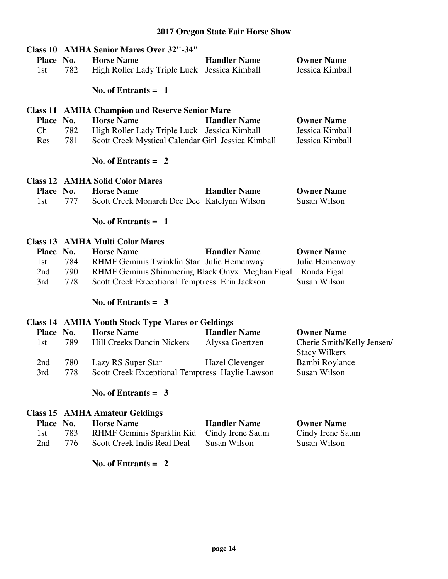|                       |     | <b>Class 10 AMHA Senior Mares Over 32"-34"</b>              |                     |                                                    |
|-----------------------|-----|-------------------------------------------------------------|---------------------|----------------------------------------------------|
| Place No.             |     | <b>Horse Name</b>                                           | <b>Handler Name</b> | <b>Owner Name</b>                                  |
| 1st                   | 782 | High Roller Lady Triple Luck Jessica Kimball                |                     | Jessica Kimball                                    |
|                       |     | No. of Entrants $= 1$                                       |                     |                                                    |
|                       |     | <b>Class 11 AMHA Champion and Reserve Senior Mare</b>       |                     |                                                    |
| Place No.             |     | <b>Horse Name</b>                                           | <b>Handler Name</b> | <b>Owner Name</b>                                  |
| Ch                    | 782 | High Roller Lady Triple Luck Jessica Kimball                |                     | Jessica Kimball                                    |
| Res                   | 781 | Scott Creek Mystical Calendar Girl Jessica Kimball          |                     | Jessica Kimball                                    |
|                       |     | No. of Entrants $= 2$                                       |                     |                                                    |
|                       |     | <b>Class 12 AMHA Solid Color Mares</b>                      |                     |                                                    |
| Place No.             |     | <b>Horse Name</b>                                           | <b>Handler Name</b> | <b>Owner Name</b>                                  |
| 1st                   | 777 | Scott Creek Monarch Dee Dee Katelynn Wilson                 |                     | Susan Wilson                                       |
|                       |     | No. of Entrants $= 1$                                       |                     |                                                    |
|                       |     | <b>Class 13 AMHA Multi Color Mares</b>                      |                     |                                                    |
| Place No.             |     | <b>Horse Name</b>                                           | <b>Handler Name</b> | <b>Owner Name</b>                                  |
| 1st                   | 784 | RHMF Geminis Twinklin Star Julie Hemenway                   |                     | Julie Hemenway                                     |
| 2nd                   | 790 | RHMF Geminis Shimmering Black Onyx Meghan Figal Ronda Figal |                     |                                                    |
| 3rd                   | 778 | Scott Creek Exceptional Temptress Erin Jackson              |                     | Susan Wilson                                       |
|                       |     | No. of Entrants = $3$                                       |                     |                                                    |
|                       |     | <b>Class 14 AMHA Youth Stock Type Mares or Geldings</b>     |                     |                                                    |
| Place No.             |     | <b>Horse Name</b>                                           | <b>Handler Name</b> | <b>Owner Name</b>                                  |
| 1st                   | 789 | <b>Hill Creeks Dancin Nickers</b>                           | Alyssa Goertzen     | Cherie Smith/Kelly Jensen/<br><b>Stacy Wilkers</b> |
| 2nd                   | 780 | Lazy RS Super Star                                          | Hazel Clevenger     | Bambi Roylance                                     |
| 3rd                   | 778 | Scott Creek Exceptional Temptress Haylie Lawson             |                     | Susan Wilson                                       |
| No. of Entrants = $3$ |     |                                                             |                     |                                                    |
|                       |     |                                                             |                     |                                                    |
|                       |     | <b>Class 15 AMHA Amateur Geldings</b>                       |                     |                                                    |
| Place No.             |     | <b>Horse Name</b>                                           | <b>Handler Name</b> | <b>Owner Name</b>                                  |
| 1st                   | 783 | RHMF Geminis Sparklin Kid                                   | Cindy Irene Saum    | Cindy Irene Saum                                   |
| 2nd                   | 776 | Scott Creek Indis Real Deal                                 | Susan Wilson        | <b>Susan Wilson</b>                                |
|                       |     | No. of Entrants $= 2$                                       |                     |                                                    |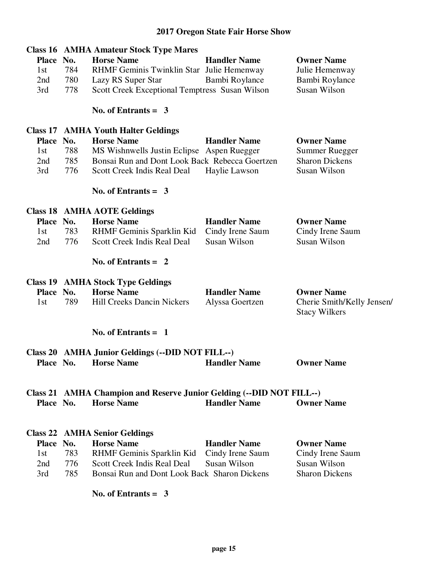| Place No.<br>1st<br>2nd<br>3rd                | 784<br>780<br>778        | <b>Class 16 AMHA Amateur Stock Type Mares</b><br><b>Horse Name</b><br>RHMF Geminis Twinklin Star Julie Hemenway<br>Lazy RS Super Star<br>Scott Creek Exceptional Temptress Susan Wilson<br>No. of Entrants $= 3$        | <b>Handler Name</b><br>Bambi Roylance                   | <b>Owner Name</b><br>Julie Hemenway<br>Bambi Roylance<br>Susan Wilson               |
|-----------------------------------------------|--------------------------|-------------------------------------------------------------------------------------------------------------------------------------------------------------------------------------------------------------------------|---------------------------------------------------------|-------------------------------------------------------------------------------------|
| <b>Place</b><br>1st<br>2nd<br>3rd             | No.<br>788<br>785<br>776 | <b>Class 17 AMHA Youth Halter Geldings</b><br><b>Horse Name</b><br>MS Wishnwells Justin Eclipse Aspen Ruegger<br>Bonsai Run and Dont Look Back Rebecca Goertzen<br>Scott Creek Indis Real Deal<br>No. of Entrants $=$ 3 | <b>Handler Name</b><br>Haylie Lawson                    | <b>Owner Name</b><br><b>Summer Ruegger</b><br><b>Sharon Dickens</b><br>Susan Wilson |
| Place No.<br>1st<br>2nd                       | 783<br>776               | <b>Class 18 AMHA AOTE Geldings</b><br><b>Horse Name</b><br>RHMF Geminis Sparklin Kid<br>Scott Creek Indis Real Deal<br>No. of Entrants $= 2$                                                                            | <b>Handler Name</b><br>Cindy Irene Saum<br>Susan Wilson | <b>Owner Name</b><br>Cindy Irene Saum<br>Susan Wilson                               |
| Place No.<br>1st                              | 789                      | <b>Class 19 AMHA Stock Type Geldings</b><br><b>Horse Name</b><br><b>Hill Creeks Dancin Nickers</b>                                                                                                                      | <b>Handler Name</b><br>Alyssa Goertzen                  | <b>Owner Name</b><br>Cherie Smith/Kelly Jensen/<br><b>Stacy Wilkers</b>             |
| <b>Class 20</b><br>Place No.                  |                          | No. of Entrants $= 1$<br><b>AMHA Junior Geldings (--DID NOT FILL--)</b><br><b>Horse Name</b>                                                                                                                            | <b>Handler Name</b>                                     | <b>Owner Name</b>                                                                   |
| Place No.                                     |                          | Class 21 AMHA Champion and Reserve Junior Gelding (--DID NOT FILL--)<br><b>Horse Name</b>                                                                                                                               | <b>Handler Name</b>                                     | <b>Owner Name</b>                                                                   |
| Class 22<br><b>Place</b><br>1st<br>2nd<br>3rd | No.<br>783<br>776<br>785 | <b>AMHA Senior Geldings</b><br><b>Horse Name</b><br>RHMF Geminis Sparklin Kid<br>Scott Creek Indis Real Deal<br>Bonsai Run and Dont Look Back Sharon Dickens<br>No. of Entrants $=$ 3                                   | <b>Handler Name</b><br>Cindy Irene Saum<br>Susan Wilson | <b>Owner Name</b><br>Cindy Irene Saum<br>Susan Wilson<br><b>Sharon Dickens</b>      |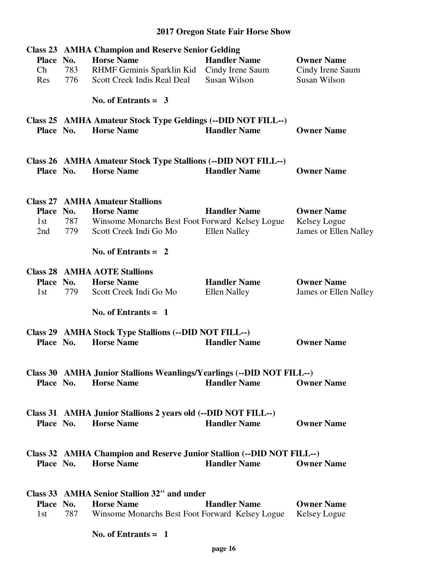|           |     | <b>Class 23 AMHA Champion and Reserve Senior Gelding</b>                                      |                                             |                       |
|-----------|-----|-----------------------------------------------------------------------------------------------|---------------------------------------------|-----------------------|
| Place No. |     | <b>Horse Name</b>                                                                             | <b>Handler Name</b>                         | <b>Owner Name</b>     |
| Ch        | 783 | RHMF Geminis Sparklin Kid                                                                     | Cindy Irene Saum                            | Cindy Irene Saum      |
| Res       | 776 | Scott Creek Indis Real Deal                                                                   | Susan Wilson                                | Susan Wilson          |
|           |     |                                                                                               |                                             |                       |
|           |     | No. of Entrants = $3$                                                                         |                                             |                       |
|           |     | Class 25 AMHA Amateur Stock Type Geldings (--DID NOT FILL--)                                  |                                             |                       |
| Place No. |     | <b>Horse Name</b>                                                                             | <b>Handler Name</b>                         | <b>Owner Name</b>     |
|           |     |                                                                                               |                                             |                       |
| Place No. |     | Class 26 AMHA Amateur Stock Type Stallions (--DID NOT FILL--)<br><b>Horse Name</b>            | <b>Handler Name</b>                         | <b>Owner Name</b>     |
|           |     | <b>Class 27 AMHA Amateur Stallions</b>                                                        |                                             |                       |
| Place No. |     | <b>Horse Name</b>                                                                             | <b>Handler Name</b>                         | <b>Owner Name</b>     |
|           |     |                                                                                               |                                             |                       |
| 1st       | 787 | Winsome Monarchs Best Foot Forward Kelsey Logue                                               |                                             | Kelsey Logue          |
| 2nd       | 779 | Scott Creek Indi Go Mo                                                                        | <b>Ellen Nalley</b>                         | James or Ellen Nalley |
|           |     | No. of Entrants $= 2$                                                                         |                                             |                       |
|           |     | <b>Class 28 AMHA AOTE Stallions</b>                                                           |                                             |                       |
| Place No. |     | <b>Horse Name</b>                                                                             | <b>Handler Name</b>                         | <b>Owner Name</b>     |
| 1st       | 779 | Scott Creek Indi Go Mo                                                                        | <b>Ellen Nalley</b>                         | James or Ellen Nalley |
|           |     |                                                                                               |                                             |                       |
|           |     | No. of Entrants $= 1$                                                                         |                                             |                       |
|           |     | Class 29 AMHA Stock Type Stallions (--DID NOT FILL--)                                         |                                             |                       |
| Place No. |     | <b>Horse Name</b>                                                                             | <b>Handler Name</b>                         | <b>Owner Name</b>     |
|           |     |                                                                                               |                                             |                       |
|           |     |                                                                                               |                                             |                       |
|           |     | Class 30 AMHA Junior Stallions Weanlings/Yearlings (--DID NOT FILL--)<br>Place No. Horse Name | <b>Example Find Handler Name</b> Owner Name |                       |
|           |     |                                                                                               |                                             |                       |
|           |     |                                                                                               |                                             |                       |
|           |     | Class 31 AMHA Junior Stallions 2 years old (--DID NOT FILL--)                                 |                                             |                       |
|           |     | Place No. Horse Name                                                                          | <b>Handler Name</b>                         | <b>Owner Name</b>     |
|           |     |                                                                                               |                                             |                       |
|           |     |                                                                                               |                                             |                       |
|           |     | Class 32 AMHA Champion and Reserve Junior Stallion (--DID NOT FILL--)                         |                                             |                       |
| Place No. |     | <b>Horse Name</b>                                                                             | <b>Handler Name</b>                         | <b>Owner Name</b>     |
|           |     |                                                                                               |                                             |                       |
|           |     |                                                                                               |                                             |                       |
|           |     | Class 33 AMHA Senior Stallion 32" and under                                                   |                                             |                       |
| Place No. |     | <b>Horse Name</b>                                                                             | <b>Handler Name</b>                         | <b>Owner Name</b>     |
| 1st       |     | 787 Winsome Monarchs Best Foot Forward Kelsey Logue Kelsey Logue                              |                                             |                       |
|           |     |                                                                                               |                                             |                       |
|           |     | No. of Entrants $= 1$                                                                         |                                             |                       |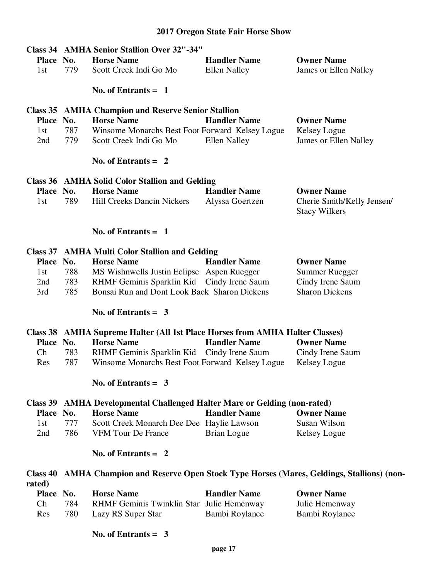| Place No.       |            | <b>Class 34 AMHA Senior Stallion Over 32"-34"</b><br><b>Horse Name</b>                     | <b>Handler Name</b> | <b>Owner Name</b>                                                                          |
|-----------------|------------|--------------------------------------------------------------------------------------------|---------------------|--------------------------------------------------------------------------------------------|
| 1st             | 779        | Scott Creek Indi Go Mo                                                                     | <b>Ellen Nalley</b> | James or Ellen Nalley                                                                      |
|                 |            | No. of Entrants $=$ 1                                                                      |                     |                                                                                            |
|                 |            | <b>Class 35 AMHA Champion and Reserve Senior Stallion</b>                                  |                     |                                                                                            |
| Place No.       |            | <b>Horse Name</b>                                                                          | <b>Handler Name</b> | <b>Owner Name</b>                                                                          |
| 1st             | 787        | Winsome Monarchs Best Foot Forward Kelsey Logue                                            |                     | Kelsey Logue                                                                               |
| 2nd             | 779        | Scott Creek Indi Go Mo                                                                     | <b>Ellen Nalley</b> | James or Ellen Nalley                                                                      |
|                 |            | No. of Entrants $= 2$                                                                      |                     |                                                                                            |
|                 |            | Class 36 AMHA Solid Color Stallion and Gelding                                             |                     |                                                                                            |
| Place No.       |            | <b>Horse Name</b>                                                                          | <b>Handler Name</b> | <b>Owner Name</b>                                                                          |
| 1st             | 789        | Hill Creeks Dancin Nickers                                                                 | Alyssa Goertzen     | Cherie Smith/Kelly Jensen/<br><b>Stacy Wilkers</b>                                         |
|                 |            |                                                                                            |                     |                                                                                            |
|                 |            | No. of Entrants $= 1$                                                                      |                     |                                                                                            |
|                 |            | <b>Class 37 AMHA Multi Color Stallion and Gelding</b>                                      |                     |                                                                                            |
| Place No.       |            | <b>Horse Name</b>                                                                          | <b>Handler Name</b> | <b>Owner Name</b>                                                                          |
| 1st             | 788        | MS Wishnwells Justin Eclipse Aspen Ruegger                                                 |                     | <b>Summer Ruegger</b>                                                                      |
| 2nd<br>3rd      | 783<br>785 | RHMF Geminis Sparklin Kid Cindy Irene Saum<br>Bonsai Run and Dont Look Back Sharon Dickens |                     | Cindy Irene Saum<br><b>Sharon Dickens</b>                                                  |
|                 |            |                                                                                            |                     |                                                                                            |
|                 |            | No. of Entrants = $3$                                                                      |                     |                                                                                            |
|                 |            | Class 38 AMHA Supreme Halter (All 1st Place Horses from AMHA Halter Classes)               |                     |                                                                                            |
| Place No.       |            | <b>Horse Name</b>                                                                          | <b>Handler Name</b> | <b>Owner Name</b>                                                                          |
| Ch              | 783        | RHMF Geminis Sparklin Kid Cindy Irene Saum                                                 |                     | Cindy Irene Saum                                                                           |
| Res             | 787        | Winsome Monarchs Best Foot Forward Kelsey Logue                                            |                     | <b>Kelsey Logue</b>                                                                        |
|                 |            | No. of Entrants = $3$                                                                      |                     |                                                                                            |
|                 |            | Class 39 AMHA Developmental Challenged Halter Mare or Gelding (non-rated)                  |                     |                                                                                            |
| <b>Place</b>    | No.        | <b>Horse Name</b>                                                                          | <b>Handler Name</b> | <b>Owner Name</b>                                                                          |
| 1st             | 777        | Scott Creek Monarch Dee Dee Haylie Lawson                                                  |                     | Susan Wilson                                                                               |
| 2nd             | 786        | <b>VFM Tour De France</b>                                                                  | Brian Logue         | Kelsey Logue                                                                               |
|                 |            | No. of Entrants $= 2$                                                                      |                     |                                                                                            |
| <b>Class 40</b> |            |                                                                                            |                     | <b>AMHA Champion and Reserve Open Stock Type Horses (Mares, Geldings, Stallions) (non-</b> |
| rated)          |            |                                                                                            |                     |                                                                                            |
| Place No.<br>Ch | 784        | <b>Horse Name</b><br>RHMF Geminis Twinklin Star Julie Hemenway                             | <b>Handler Name</b> | <b>Owner Name</b><br>Julie Hemenway                                                        |
| Res             | 780        | Lazy RS Super Star                                                                         | Bambi Roylance      | Bambi Roylance                                                                             |
|                 |            |                                                                                            |                     |                                                                                            |
|                 |            |                                                                                            |                     |                                                                                            |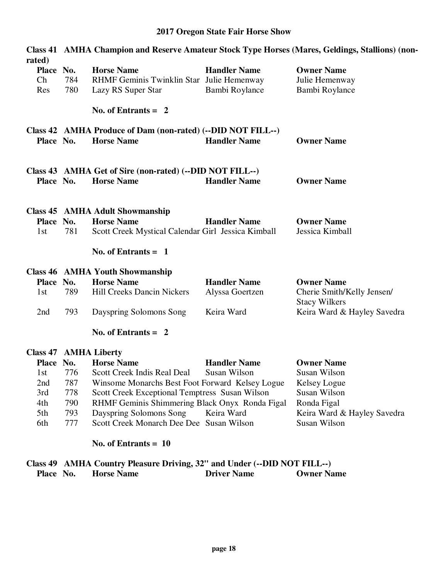| rated)                       | Class 41 AMHA Champion and Reserve Amateur Stock Type Horses (Mares, Geldings, Stallions) (non- |                                                                                  |                     |                                                    |  |
|------------------------------|-------------------------------------------------------------------------------------------------|----------------------------------------------------------------------------------|---------------------|----------------------------------------------------|--|
| Place No.                    |                                                                                                 | <b>Horse Name</b>                                                                | <b>Handler Name</b> | <b>Owner Name</b>                                  |  |
| Ch                           | 784                                                                                             | RHMF Geminis Twinklin Star Julie Hemenway                                        |                     | Julie Hemenway                                     |  |
| Res                          | 780                                                                                             | Lazy RS Super Star                                                               | Bambi Roylance      | Bambi Roylance                                     |  |
|                              |                                                                                                 | No. of Entrants $= 2$                                                            |                     |                                                    |  |
| Place No.                    |                                                                                                 | Class 42 AMHA Produce of Dam (non-rated) (--DID NOT FILL--)<br><b>Horse Name</b> | <b>Handler Name</b> | <b>Owner Name</b>                                  |  |
| Place No.                    |                                                                                                 | Class 43 AMHA Get of Sire (non-rated) (--DID NOT FILL--)<br><b>Horse Name</b>    | <b>Handler Name</b> | <b>Owner Name</b>                                  |  |
|                              |                                                                                                 | <b>Class 45 AMHA Adult Showmanship</b>                                           |                     |                                                    |  |
| Place No.                    |                                                                                                 | <b>Horse Name</b>                                                                | <b>Handler Name</b> | <b>Owner Name</b>                                  |  |
| 1st                          | 781                                                                                             | Scott Creek Mystical Calendar Girl Jessica Kimball                               |                     | Jessica Kimball                                    |  |
|                              |                                                                                                 | No. of Entrants $= 1$                                                            |                     |                                                    |  |
|                              |                                                                                                 | <b>Class 46 AMHA Youth Showmanship</b>                                           |                     |                                                    |  |
| Place No.                    |                                                                                                 | <b>Horse Name</b>                                                                | <b>Handler Name</b> | <b>Owner Name</b>                                  |  |
| 1st                          | 789                                                                                             | <b>Hill Creeks Dancin Nickers</b>                                                | Alyssa Goertzen     | Cherie Smith/Kelly Jensen/<br><b>Stacy Wilkers</b> |  |
| 2nd                          | 793                                                                                             | Dayspring Solomons Song                                                          | Keira Ward          | Keira Ward & Hayley Savedra                        |  |
|                              |                                                                                                 | No. of Entrants $= 2$                                                            |                     |                                                    |  |
| <b>Class 47 AMHA Liberty</b> |                                                                                                 |                                                                                  |                     |                                                    |  |
| Place No.                    |                                                                                                 | <b>Horse Name</b>                                                                | <b>Handler Name</b> | <b>Owner Name</b>                                  |  |
| 1st                          | 776                                                                                             | Scott Creek Indis Real Deal                                                      | Susan Wilson        | Susan Wilson                                       |  |

| $\blacksquare$ |     |                                                 |              | $\lambda$ , $\lambda$ , $\lambda$ , $\lambda$ , $\lambda$ , $\lambda$ , $\lambda$ , $\lambda$ , $\lambda$ , $\lambda$ , $\lambda$ , $\lambda$ , $\lambda$ , $\lambda$ , $\lambda$ , $\lambda$ , $\lambda$ , $\lambda$ , $\lambda$ , $\lambda$ , $\lambda$ , $\lambda$ , $\lambda$ , $\lambda$ , $\lambda$ , $\lambda$ , $\lambda$ , $\lambda$ , $\lambda$ , $\lambda$ , $\lambda$ , $\lambda$ , $\lambda$ , $\lambda$ , $\lambda$ , $\lambda$ , $\lambda$ , |
|----------------|-----|-------------------------------------------------|--------------|-------------------------------------------------------------------------------------------------------------------------------------------------------------------------------------------------------------------------------------------------------------------------------------------------------------------------------------------------------------------------------------------------------------------------------------------------------------|
| 1st            | 776 | Scott Creek Indis Real Deal                     | Susan Wilson | Susan Wilson                                                                                                                                                                                                                                                                                                                                                                                                                                                |
| 2nd            | 787 | Winsome Monarchs Best Foot Forward Kelsey Logue |              | Kelsey Logue                                                                                                                                                                                                                                                                                                                                                                                                                                                |
| 3rd            | 778 | Scott Creek Exceptional Temptress Susan Wilson  |              | Susan Wilson                                                                                                                                                                                                                                                                                                                                                                                                                                                |
| 4th            | 790 | RHMF Geminis Shimmering Black Onyx Ronda Figal  |              | Ronda Figal                                                                                                                                                                                                                                                                                                                                                                                                                                                 |
| 5th            | 793 | Dayspring Solomons Song                         | Keira Ward   | Keira Ward & Hayley Savedra                                                                                                                                                                                                                                                                                                                                                                                                                                 |
| 6th            | 777 | Scott Creek Monarch Dee Dee Susan Wilson        |              | Susan Wilson                                                                                                                                                                                                                                                                                                                                                                                                                                                |
|                |     |                                                 |              |                                                                                                                                                                                                                                                                                                                                                                                                                                                             |

#### **No. of Entrants = 10**

### **Class 49 AMHA Country Pleasure Driving, 32" and Under (--DID NOT FILL--)<br>Place No. Horse Name Driver Name Owner Name Place No. Horse Name Driver Name Owner Name**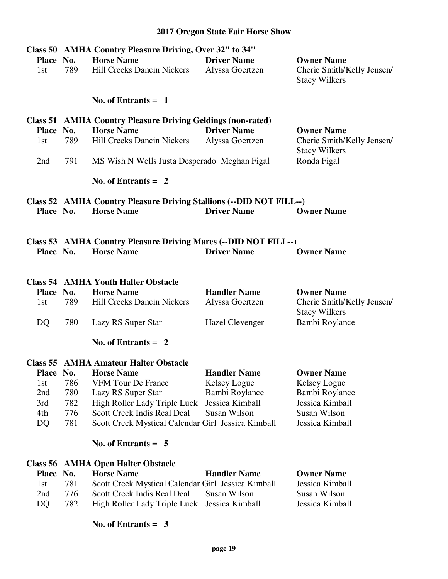|                       |            | Class 50 AMHA Country Pleasure Driving, Over 32" to 34"                           |                        |                            |
|-----------------------|------------|-----------------------------------------------------------------------------------|------------------------|----------------------------|
| Place No.             |            | <b>Horse Name</b>                                                                 | <b>Driver Name</b>     | <b>Owner Name</b>          |
| 1st                   | 789        | <b>Hill Creeks Dancin Nickers</b>                                                 | Alyssa Goertzen        | Cherie Smith/Kelly Jensen/ |
|                       |            |                                                                                   |                        | <b>Stacy Wilkers</b>       |
|                       |            | No. of Entrants $= 1$                                                             |                        |                            |
|                       |            | <b>Class 51 AMHA Country Pleasure Driving Geldings (non-rated)</b>                |                        |                            |
| Place No.             |            | <b>Horse Name</b>                                                                 | <b>Driver Name</b>     | <b>Owner Name</b>          |
| 1st                   | 789        | <b>Hill Creeks Dancin Nickers</b>                                                 | Alyssa Goertzen        | Cherie Smith/Kelly Jensen/ |
|                       |            |                                                                                   |                        | <b>Stacy Wilkers</b>       |
| 2nd                   | 791        | MS Wish N Wells Justa Desperado Meghan Figal                                      |                        | Ronda Figal                |
|                       |            | No. of Entrants $= 2$                                                             |                        |                            |
|                       |            | Class 52 AMHA Country Pleasure Driving Stallions (--DID NOT FILL--)               |                        |                            |
| Place No.             |            | <b>Horse Name</b>                                                                 | <b>Driver Name</b>     | <b>Owner Name</b>          |
|                       |            |                                                                                   |                        |                            |
|                       |            | Class 53 AMHA Country Pleasure Driving Mares (--DID NOT FILL--)                   |                        |                            |
| Place No.             |            | <b>Horse Name</b>                                                                 | <b>Driver Name</b>     | <b>Owner Name</b>          |
|                       |            |                                                                                   |                        |                            |
|                       |            |                                                                                   |                        |                            |
| Place No.             |            | <b>Class 54 AMHA Youth Halter Obstacle</b><br><b>Horse Name</b>                   | <b>Handler Name</b>    | <b>Owner Name</b>          |
| 1st                   | 789        | <b>Hill Creeks Dancin Nickers</b>                                                 | Alyssa Goertzen        | Cherie Smith/Kelly Jensen/ |
|                       |            |                                                                                   |                        | <b>Stacy Wilkers</b>       |
| DQ                    | 780        | Lazy RS Super Star                                                                | <b>Hazel Clevenger</b> | Bambi Roylance             |
|                       |            |                                                                                   |                        |                            |
|                       |            | No. of Entrants $= 2$                                                             |                        |                            |
|                       |            |                                                                                   |                        |                            |
|                       |            | <b>Class 55 AMHA Amateur Halter Obstacle</b>                                      |                        |                            |
| Place No.             |            | <b>Horse Name</b>                                                                 | <b>Handler Name</b>    | <b>Owner Name</b>          |
| 1st                   | 786        | <b>VFM Tour De France</b>                                                         | Kelsey Logue           | Kelsey Logue               |
| 2nd                   | 780        | Lazy RS Super Star                                                                | Bambi Roylance         | Bambi Roylance             |
| 3rd                   | 782        | High Roller Lady Triple Luck                                                      | Jessica Kimball        | Jessica Kimball            |
| 4th                   | 776        | Scott Creek Indis Real Deal                                                       | Susan Wilson           | Susan Wilson               |
| DQ                    | 781        | Scott Creek Mystical Calendar Girl Jessica Kimball                                |                        | Jessica Kimball            |
|                       |            | No. of Entrants $= 5$                                                             |                        |                            |
|                       |            |                                                                                   |                        |                            |
| Class 56<br>Place No. |            | <b>AMHA Open Halter Obstacle</b><br><b>Horse Name</b>                             | <b>Handler Name</b>    | <b>Owner Name</b>          |
| 1st                   |            |                                                                                   |                        | Jessica Kimball            |
| 2nd                   | 781<br>776 | Scott Creek Mystical Calendar Girl Jessica Kimball<br>Scott Creek Indis Real Deal | Susan Wilson           | Susan Wilson               |
| DQ                    | 782        | High Roller Lady Triple Luck                                                      | Jessica Kimball        | Jessica Kimball            |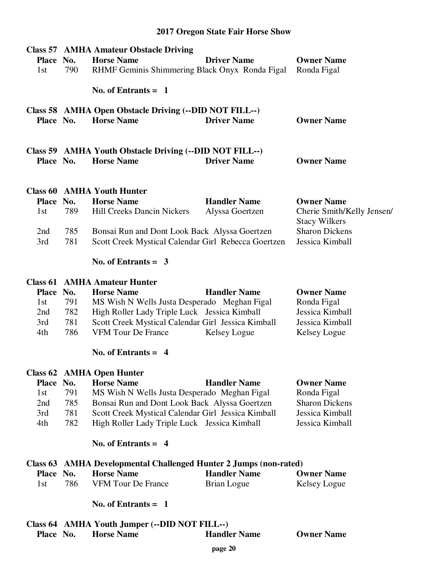|           |     | <b>Class 57 AMHA Amateur Obstacle Driving</b>                      |                     |                                               |
|-----------|-----|--------------------------------------------------------------------|---------------------|-----------------------------------------------|
| Place No. |     | <b>Horse Name</b>                                                  | <b>Driver Name</b>  | <b>Owner Name</b>                             |
| 1st       | 790 | RHMF Geminis Shimmering Black Onyx Ronda Figal                     |                     | Ronda Figal                                   |
|           |     | No. of Entrants $= 1$                                              |                     |                                               |
|           |     |                                                                    |                     |                                               |
|           |     | Class 58 AMHA Open Obstacle Driving (--DID NOT FILL--)             |                     |                                               |
| Place No. |     | <b>Horse Name</b>                                                  | <b>Driver Name</b>  | <b>Owner Name</b>                             |
|           |     |                                                                    |                     |                                               |
|           |     | Class 59 AMHA Youth Obstacle Driving (--DID NOT FILL--)            |                     |                                               |
| Place No. |     | <b>Horse Name</b>                                                  | <b>Driver Name</b>  | <b>Owner Name</b>                             |
|           |     |                                                                    |                     |                                               |
|           |     | <b>Class 60 AMHA Youth Hunter</b>                                  |                     |                                               |
| Place No. |     | <b>Horse Name</b>                                                  | <b>Handler Name</b> | <b>Owner Name</b>                             |
|           | 789 | <b>Hill Creeks Dancin Nickers</b>                                  |                     |                                               |
| 1st       |     |                                                                    | Alyssa Goertzen     | Cherie Smith/Kelly Jensen/                    |
| 2nd       | 785 |                                                                    |                     | <b>Stacy Wilkers</b><br><b>Sharon Dickens</b> |
|           |     | Bonsai Run and Dont Look Back Alyssa Goertzen                      |                     |                                               |
| 3rd       | 781 | Scott Creek Mystical Calendar Girl Rebecca Goertzen                |                     | Jessica Kimball                               |
|           |     | No. of Entrants = $3$                                              |                     |                                               |
|           |     | <b>Class 61 AMHA Amateur Hunter</b>                                |                     |                                               |
| Place No. |     | <b>Horse Name</b>                                                  | <b>Handler Name</b> | <b>Owner Name</b>                             |
| 1st       | 791 | MS Wish N Wells Justa Desperado Meghan Figal                       |                     | Ronda Figal                                   |
| 2nd       | 782 | High Roller Lady Triple Luck Jessica Kimball                       |                     | Jessica Kimball                               |
| 3rd       | 781 | Scott Creek Mystical Calendar Girl Jessica Kimball                 |                     | Jessica Kimball                               |
| 4th       | 786 | <b>VFM Tour De France</b>                                          | Kelsey Logue        | Kelsey Logue                                  |
|           |     |                                                                    |                     |                                               |
|           |     | No. of Entrants $= 4$                                              |                     |                                               |
|           |     | <b>Class 62 AMHA Open Hunter</b>                                   |                     |                                               |
| Place No. |     | <b>Horse Name</b>                                                  | <b>Handler Name</b> | <b>Owner Name</b>                             |
| 1st       | 791 | MS Wish N Wells Justa Desperado Meghan Figal                       |                     | Ronda Figal                                   |
| 2nd       | 785 | Bonsai Run and Dont Look Back Alyssa Goertzen                      |                     | <b>Sharon Dickens</b>                         |
| 3rd       | 781 | Scott Creek Mystical Calendar Girl Jessica Kimball                 |                     | Jessica Kimball                               |
| 4th       | 782 | High Roller Lady Triple Luck Jessica Kimball                       |                     | Jessica Kimball                               |
|           |     | No. of Entrants $= 4$                                              |                     |                                               |
|           |     | Class 63 AMHA Developmental Challenged Hunter 2 Jumps (non-rated)  |                     |                                               |
| Place No. |     | <b>Horse Name</b>                                                  | <b>Handler Name</b> | <b>Owner Name</b>                             |
| 1st       | 786 | <b>VFM Tour De France</b>                                          | <b>Brian Logue</b>  | Kelsey Logue                                  |
|           |     | No. of Entrants $= 1$                                              |                     |                                               |
|           |     |                                                                    |                     |                                               |
|           |     | Class 64 AMHA Youth Jumper (--DID NOT FILL--)<br><b>Horse Name</b> | <b>Handler Name</b> |                                               |
| Place No. |     |                                                                    |                     | <b>Owner Name</b>                             |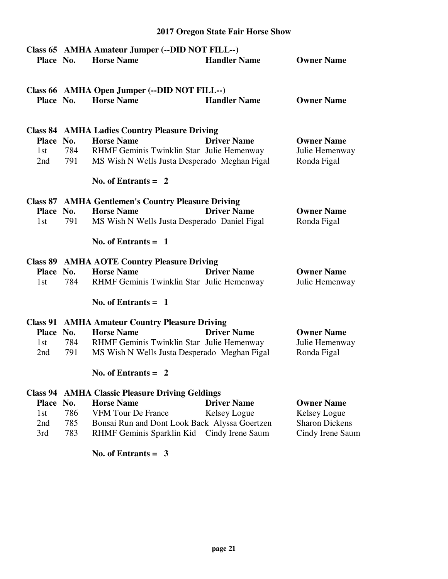# **Class 65 AMHA Amateur Jumper (--DID NOT FILL--) Place No. Horse Name Handler Name Owner Name Class 66 AMHA Open Jumper (--DID NOT FILL--) Place No. Horse Name Handler Name Owner Name Class 84 AMHA Ladies Country Pleasure Driving Place No. Horse Name Driver Name Owner Name**  1st 784 RHMF Geminis Twinklin Star Julie Hemenway Julie Hemenway 2nd 791 MS Wish N Wells Justa Desperado Meghan Figal Ronda Figal  **No. of Entrants = 2 Class 87 AMHA Gentlemen's Country Pleasure Driving Place No. Horse Name Driver Name Owner Name**  1st 791 MS Wish N Wells Justa Desperado Daniel Figal Ronda Figal  **No. of Entrants = 1 Class 89 AMHA AOTE Country Pleasure Driving Place No. Horse Name Driver Name Owner Name**  1st 784 RHMF Geminis Twinklin Star Julie Hemenway Julie Hemenway  **No. of Entrants = 1 Class 91 AMHA Amateur Country Pleasure Driving Place No. Horse Name Driver Name Owner Name**  1st 784 RHMF Geminis Twinklin Star Julie Hemenway Julie Hemenway 2nd 791 MS Wish N Wells Justa Desperado Meghan Figal Ronda Figal  **No. of Entrants = 2 Class 94 AMHA Classic Pleasure Driving Geldings Place No. Horse Name Driver Name Owner Name**  1st 786 VFM Tour De France Kelsey Logue Kelsey Logue Relsey Logue<br>
2nd 785 Bonsai Run and Dont Look Back Alvssa Goertzen Sharon Dickens 2nd 785 Bonsai Run and Dont Look Back Alyssa Goertzen 3rd 783 RHMF Geminis Sparklin Kid Cindy Irene Saum Cindy Irene Saum

**2017 Oregon State Fair Horse Show**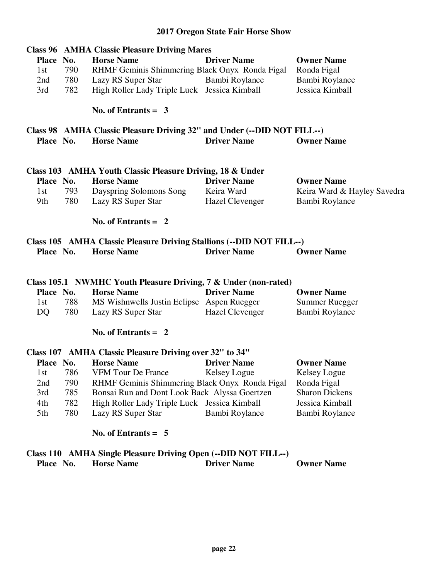# **Class 96 AMHA Classic Pleasure Driving Mares Place No. Horse Name Driver Name Owner Name**  1st 790 RHMF Geminis Shimmering Black Onyx Ronda Figal Ronda Figal 2nd 780 Lazy RS Super Star Bambi Roylance Bambi Roylance 3rd 782 High Roller Lady Triple Luck Jessica Kimball Jessica Kimball  **No. of Entrants = 3 Class 98 AMHA Classic Pleasure Driving 32" and Under (--DID NOT FILL--) Place No. Horse Name Driver Name Owner Name Class 103 AMHA Youth Classic Pleasure Driving, 18 & Under Place No. Horse Name Driver Name Owner Name**  1st 793 Dayspring Solomons Song Keira Ward Keira Ward & Hayley Savedra 9th 780 Lazy RS Super Star Hazel Clevenger Bambi Roylance  **No. of Entrants = 2 Class 105 AMHA Classic Pleasure Driving Stallions (--DID NOT FILL--) Place No. Horse Name Driver Name Owner Name Class 105.1 NWMHC Youth Pleasure Driving, 7 & Under (non-rated) Place No. Horse Name Driver Name Owner Name**  1st 788 MS Wishnwells Justin Eclipse Aspen Ruegger Summer Ruegger DQ 780 Lazy RS Super Star Hazel Clevenger Bambi Roylance  **No. of Entrants = 2 Class 107 AMHA Classic Pleasure Driving over 32" to 34" Place No. Horse Name Driver Name Owner Name**  1st 786 VFM Tour De France Kelsey Logue Kelsey Logue 2nd 790 RHMF Geminis Shimmering Black Onyx Ronda Figal Ronda Figal 3rd 785 Bonsai Run and Dont Look Back Alyssa Goertzen Sharon Dickens 4th 782 High Roller Lady Triple Luck Jessica Kimball Jessica Kimball

 **No. of Entrants = 5** 

#### **Class 110 AMHA Single Pleasure Driving Open (--DID NOT FILL--) Place No. Horse Name Driver Name Owner Name**

5th 780 Lazy RS Super Star Bambi Roylance Bambi Roylance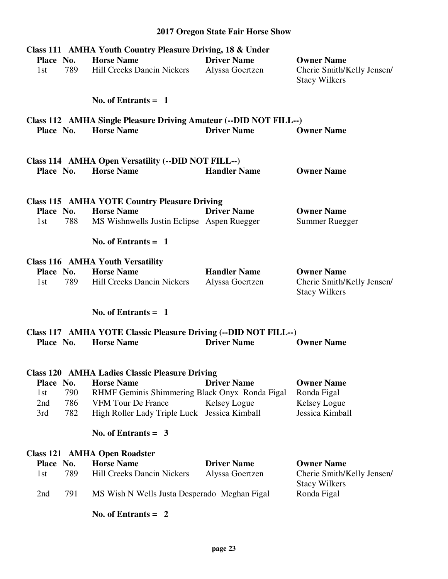| Class 111 AMHA Youth Country Pleasure Driving, 18 & Under |     |                                                                            |                                       |                                                                         |
|-----------------------------------------------------------|-----|----------------------------------------------------------------------------|---------------------------------------|-------------------------------------------------------------------------|
| Place No.<br>1st                                          | 789 | <b>Horse Name</b><br><b>Hill Creeks Dancin Nickers</b>                     | <b>Driver Name</b><br>Alyssa Goertzen | <b>Owner Name</b><br>Cherie Smith/Kelly Jensen/<br><b>Stacy Wilkers</b> |
|                                                           |     | No. of Entrants $=$ 1                                                      |                                       |                                                                         |
|                                                           |     | Class 112 AMHA Single Pleasure Driving Amateur (--DID NOT FILL--)          |                                       |                                                                         |
| Place No.                                                 |     | <b>Horse Name</b>                                                          | <b>Driver Name</b>                    | <b>Owner Name</b>                                                       |
|                                                           |     |                                                                            |                                       |                                                                         |
| Place No.                                                 |     | Class 114 AMHA Open Versatility (--DID NOT FILL--)<br><b>Horse Name</b>    | <b>Handler Name</b>                   | <b>Owner Name</b>                                                       |
|                                                           |     |                                                                            |                                       |                                                                         |
|                                                           |     | <b>Class 115 AMHA YOTE Country Pleasure Driving</b><br><b>Horse Name</b>   | <b>Driver Name</b>                    | <b>Owner Name</b>                                                       |
| Place No.<br>1st                                          | 788 | MS Wishnwells Justin Eclipse Aspen Ruegger                                 |                                       | <b>Summer Ruegger</b>                                                   |
|                                                           |     |                                                                            |                                       |                                                                         |
|                                                           |     | No. of Entrants $= 1$                                                      |                                       |                                                                         |
|                                                           |     | <b>Class 116 AMHA Youth Versatility</b>                                    |                                       |                                                                         |
| Place No.                                                 |     | <b>Horse Name</b>                                                          | <b>Handler Name</b>                   | <b>Owner Name</b>                                                       |
| 1st                                                       | 789 | <b>Hill Creeks Dancin Nickers</b>                                          | Alyssa Goertzen                       | Cherie Smith/Kelly Jensen/<br><b>Stacy Wilkers</b>                      |
|                                                           |     | No. of Entrants $= 1$                                                      |                                       |                                                                         |
|                                                           |     | Class 117 AMHA YOTE Classic Pleasure Driving (--DID NOT FILL--)            |                                       |                                                                         |
| Place No.                                                 |     | <b>Horse Name</b>                                                          | <b>Driver Name</b>                    | <b>Owner Name</b>                                                       |
|                                                           |     |                                                                            |                                       |                                                                         |
| Place No.                                                 |     | <b>Class 120 AMHA Ladies Classic Pleasure Driving</b><br><b>Horse Name</b> | <b>Driver Name</b>                    | <b>Owner Name</b>                                                       |
| 1st                                                       | 790 | RHMF Geminis Shimmering Black Onyx Ronda Figal                             |                                       | Ronda Figal                                                             |
| 2nd                                                       | 786 | <b>VFM Tour De France</b>                                                  | Kelsey Logue                          | Kelsey Logue                                                            |
| 3rd                                                       | 782 | High Roller Lady Triple Luck Jessica Kimball                               |                                       | Jessica Kimball                                                         |
|                                                           |     | No. of Entrants $=$ 3                                                      |                                       |                                                                         |
|                                                           |     | <b>Class 121 AMHA Open Roadster</b>                                        |                                       |                                                                         |
| Place No.                                                 |     | <b>Horse Name</b>                                                          | <b>Driver Name</b>                    | <b>Owner Name</b>                                                       |
| 1st                                                       | 789 | <b>Hill Creeks Dancin Nickers</b>                                          | Alyssa Goertzen                       | Cherie Smith/Kelly Jensen/<br><b>Stacy Wilkers</b>                      |
| 2nd                                                       | 791 | MS Wish N Wells Justa Desperado Meghan Figal                               |                                       | Ronda Figal                                                             |
|                                                           |     | No. of Entrants $= 2$                                                      |                                       |                                                                         |